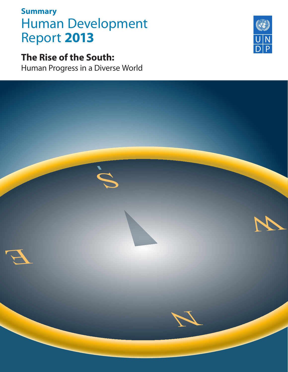## **Summary** Human Development Report **2013**

## **The Rise of the South:**

Human Progress in a Diverse World



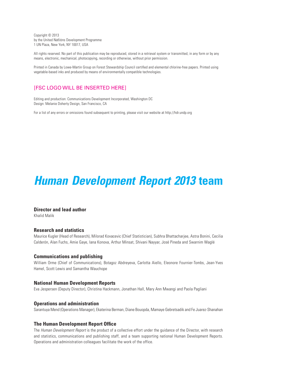Copyright © 2013 by the United Nations Development Programme 1 UN Plaza, New York, NY 10017, USA

All rights reserved. No part of this publication may be reproduced, stored in a retrieval system or transmitted, in any form or by any means, electronic, mechanical, photocopying, recording or otherwise, without prior permission.

Printed in Canada by Lowe-Martin Group on Forest Stewardship Council certified and elemental chlorine-free papers. Printed using vegetable-based inks and produced by means of environmentally compatible technologies.

## [FSC LOGO WILL BE INSERTED HERE]

Editing and production: Communications Development Incorporated, Washington DC Design: Melanie Doherty Design, San Francisco, CA

For a list of any errors or omissions found subsequent to printing, please visit our website at http://hdr.undp.org

# *Human Development Report 2013* **team**

## **Director and lead author**

Khalid Malik

### **Research and statistics**

Maurice Kugler (Head of Research), Milorad Kovacevic (Chief Statistician), Subhra Bhattacharjee, Astra Bonini, Cecilia Calderón, Alan Fuchs, Amie Gaye, Iana Konova, Arthur Minsat, Shivani Nayyar, José Pineda and Swarnim Waglé

#### **Communications and publishing**

William Orme (Chief of Communications), Botagoz Abdreyeva, Carlotta Aiello, Eleonore Fournier-Tombs, Jean-Yves Hamel, Scott Lewis and Samantha Wauchope

### **National Human Development Reports**

Eva Jespersen (Deputy Director), Christina Hackmann, Jonathan Hall, Mary Ann Mwangi and Paola Pagliani

#### **Operations and administration**

Sarantuya Mend (Operations Manager), Ekaterina Berman, Diane Bouopda, Mamaye Gebretsadik and Fe Juarez-Shanahan

### **The Human Development Report Office**

The *Human Development Report* is the product of a collective effort under the guidance of the Director, with research and statistics, communications and publishing staff, and a team supporting national Human Development Reports. Operations and administration colleagues facilitate the work of the office.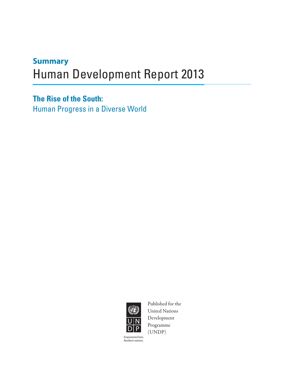## **Summary** Human Development Report 2013

**The Rise of the South:** Human Progress in a Diverse World



*Resilient nations.* 

Published for the United Nations Development Programme (UNDP)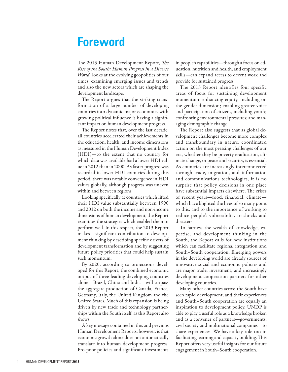## **Foreword**

The 2013 Human Development Report, *The Rise of the South: Human Progress in a Diverse World,* looks at the evolving geopolitics of our times, examining emerging issues and trends and also the new actors which are shaping the development landscape.

The Report argues that the striking transformation of a large number of developing countries into dynamic major economies with growing political influence is having a significant impact on human development progress.

The Report notes that, over the last decade, all countries accelerated their achievements in the education, health, and income dimensions as measured in the Human Development Index (HDI)—to the extent that no country for which data was available had a lower HDI value in 2012 than in 2000. As faster progress was recorded in lower HDI countries during this period, there was notable convergence in HDI values globally, although progress was uneven within and between regions.

Looking specifically at countries which lifted their HDI value substantially between 1990 and 2012 on both the income and non-income dimensions of human development, the Report examines the strategies which enabled them to perform well. In this respect, the 2013 Report makes a significant contribution to development thinking by describing specific drivers of development transformation and by suggesting future policy priorities that could help sustain such momentum.

By 2020, according to projections developed for this Report, the combined economic output of three leading developing countries alone—Brazil, China and India—will surpass the aggregate production of Canada, France, Germany, Italy, the United Kingdom and the United States. Much of this expansion is being driven by new trade and technology partnerships within the South itself, as this Report also shows.

A key message contained in this and previous Human Development Reports, however, is that economic growth alone does not automatically translate into human development progress. Pro-poor policies and significant investments

in people's capabilities—through a focus on education, nutrition and health, and employment skills—can expand access to decent work and provide for sustained progress.

The 2013 Report identifies four specific areas of focus for sustaining development momentum: enhancing equity, including on the gender dimension; enabling greater voice and participation of citizens, including youth; confronting environmental pressures; and managing demographic change.

The Report also suggests that as global development challenges become more complex and transboundary in nature, coordinated action on the most pressing challenges of our era, whether they be poverty eradication, climate change, or peace and security, is essential. As countries are increasingly interconnected through trade, migration, and information and communications technologies, it is no surprise that policy decisions in one place have substantial impacts elsewhere. The crises of recent years—food, financial, climate which have blighted the lives of so many point to this, and to the importance of working to reduce people's vulnerability to shocks and disasters.

To harness the wealth of knowledge, expertise, and development thinking in the South, the Report calls for new institutions which can facilitate regional integration and South–South cooperation. Emerging powers in the developing world are already sources of innovative social and economic policies and are major trade, investment, and increasingly development cooperation partners for other developing countries.

Many other countries across the South have seen rapid development, and their experiences and South–South cooperation are equally an inspiration to development policy. UNDP is able to play a useful role as a knowledge broker, and as a convener of partners—governments, civil society and multinational companies—to share experiences. We have a key role too in facilitating learning and capacity building. This Report offers very useful insights for our future engagement in South–South cooperation.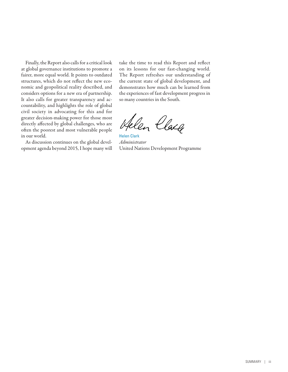Finally, the Report also calls for a critical look at global governance institutions to promote a fairer, more equal world. It points to outdated structures, which do not reflect the new economic and geopolitical reality described, and considers options for a new era of partnership. It also calls for greater transparency and accountability, and highlights the role of global civil society in advocating for this and for greater decision-making power for those most directly affected by global challenges, who are often the poorest and most vulnerable people in our world.

As discussion continues on the global development agenda beyond 2015, I hope many will take the time to read this Report and reflect on its lessons for our fast-changing world. The Report refreshes our understanding of the current state of global development, and demonstrates how much can be learned from the experiences of fast development progress in so many countries in the South.

elen Clacq

Helen Clark *Administrator* United Nations Development Programme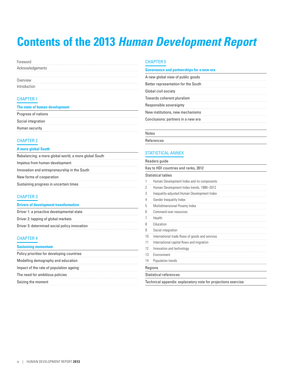# **Contents of the 2013** *Human Development Report*

| OLEMOU |
|--------|
|        |

Acknowledgements

Overview Introduction

## **CHAPTER 1**

#### **The state of human development**

Progress of nations

Social integration

Human security

## **CHAPTER 2**

#### **A more global South**

| Rebalancing: a more global world, a more global South |  |
|-------------------------------------------------------|--|
| Impetus from human development                        |  |
| Innovation and entrepreneurship in the South          |  |
| New forms of cooperation                              |  |
| Sustaining progress in uncertain times                |  |
| <b>CHAPTER 3</b>                                      |  |

## Chapter 3

| <b>Drivers of development transformation</b>  |  |
|-----------------------------------------------|--|
| Driver 1: a proactive developmental state     |  |
| Driver 2: tapping of global markets           |  |
| Driver 3: determined social policy innovation |  |
|                                               |  |

## **CHAPTER 4**

## **CHAPTER 5**

| <b>Governance and partnerships for a new era</b> |  |
|--------------------------------------------------|--|
| A new global view of public goods                |  |
| Better representation for the South              |  |
| Global civil society                             |  |
| Towards coherent pluralism                       |  |
| Responsible sovereignty                          |  |
| New institutions, new mechanisms                 |  |
| Conclusions: partners in a new era               |  |
| <b>Notes</b>                                     |  |

References

## STATISTICAL ANNEX

|                 | Readers quide                                   |
|-----------------|-------------------------------------------------|
|                 | Key to HDI countries and ranks, 2012            |
|                 | Statistical tables                              |
| 1               | Human Development Index and its components      |
| 2               | Human Development Index trends, 1980-2012       |
| 3               | Inequality-adjusted Human Development Index     |
| 4               | Gender Inequality Index                         |
| 5               | Multidimensional Poverty Index                  |
| 6               | Command over resources                          |
| 7               | Health                                          |
| 8               | Education                                       |
| 9               | Social integration                              |
| 10              | International trade flows of goods and services |
| 11              | International capital flows and migration       |
| 12              | Innovation and technology                       |
| 13 <sup>°</sup> | <b>Environment</b>                              |
| 14              | Population trends                               |
|                 | Regions                                         |
|                 | <b>Statistical references</b>                   |

Technical appendix: explanatory note for projections exercise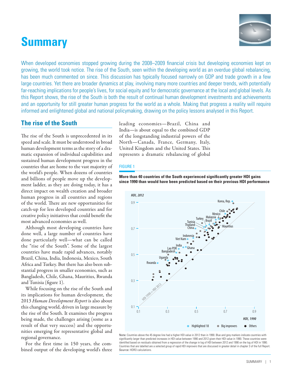# **Summary**



When developed economies stopped growing during the 2008–2009 financial crisis but developing economies kept on growing, the world took notice. The rise of the South, seen within the developing world as an overdue global rebalancing, has been much commented on since. This discussion has typically focused narrowly on GDP and trade growth in a few large countries. Yet there are broader dynamics at play, involving many more countries and deeper trends, with potentially far-reaching implications for people's lives, for social equity and for democratic governance at the local and global levels. As this Report shows, the rise of the South is both the result of continual human development investments and achievements and an opportunity for still greater human progress for the world as a whole. Making that progress a reality will require informed and enlightened global and national policymaking, drawing on the policy lessons analysed in this Report.

## **The rise of the South**

The rise of the South is unprecedented in its speed and scale. It must be understood in broad human development terms as the story of a dramatic expansion of individual capabilities and sustained human development progress in the countries that are home to the vast majority of the world's people. When dozens of countries and billions of people move up the development ladder, as they are doing today, it has a direct impact on wealth creation and broader human progress in all countries and regions of the world. There are new opportunities for catch-up for less developed countries and for creative policy initiatives that could benefit the most advanced economies as well.

Although most developing countries have done well, a large number of countries have done particularly well—what can be called the "rise of the South". Some of the largest countries have made rapid advances, notably Brazil, China, India, Indonesia, Mexico, South Africa and Turkey. But there has also been substantial progress in smaller economies, such as Bangladesh, Chile, Ghana, Mauritius, Rwanda and Tunisia (figure 1).

While focusing on the rise of the South and its implications for human development, the 2013 *Human Development Report* is also about this changing world, driven in large measure by the rise of the South. It examines the progress being made, the challenges arising (some as a result of that very success) and the opportunities emerging for representative global and regional governance.

For the first time in 150 years, the combined output of the developing world's three

leading economies—Brazil, China and India—is about equal to the combined GDP of the longstanding industrial powers of the North—Canada, France, Germany, Italy, United Kingdom and the United States. This represents a dramatic rebalancing of global

## Figure 1



**More than 40 countries of the South experienced significantly greater HDI gains since 1990 than would have been predicted based on their previous HDI performance**

Note: Countries above the 45 degree line had a higher HDI value in 2012 than in 1990. Blue and grey markers indicate countries with significantly larger than predicted increases in HDI value between 1990 and 2012 given their HDI value in 1990. These countries were identified based on residuals obtained from a regression of the change in log of HDI between 2012 and 1990 on the log of HDI in 1990. Countries that are labelled are a selected group of rapid HDI improvers that are discussed in greater detail in chapter 3 of the full Report. Source: HDRO calculations.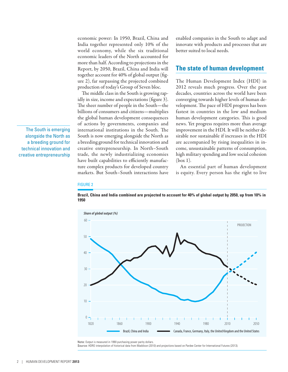economic power: In 1950, Brazil, China and India together represented only 10% of the world economy, while the six traditional economic leaders of the North accounted for more than half. According to projections in the Report, by 2050, Brazil, China and India will together account for 40% of global output (figure 2), far surpassing the projected combined production of today's Group of Seven bloc.

The middle class in the South is growing rapidly in size, income and expectations (figure 3). The sheer number of people in the South—the billions of consumers and citizens—multiplies the global human development consequences of actions by governments, companies and international institutions in the South. The South is now emerging alongside the North as a breeding ground for technical innovation and creative entrepreneurship. In North–South trade, the newly industrializing economies have built capabilities to efficiently manufacture complex products for developed country markets. But South–South interactions have enabled companies in the South to adapt and innovate with products and processes that are better suited to local needs.

## **The state of human development**

The Human Development Index (HDI) in 2012 reveals much progress. Over the past decades, countries across the world have been converging towards higher levels of human development. The pace of HDI progress has been fastest in countries in the low and medium human development categories. This is good news. Yet progress requires more than average improvement in the HDI. It will be neither desirable nor sustainable if increases in the HDI are accompanied by rising inequalities in income, unsustainable patterns of consumption, high military spending and low social cohesion (box 1).

An essential part of human development is equity. Every person has the right to live

#### Figure 2



**Brazil, China and India combined are projected to account for 40% of global output by 2050, up from 10% in 1950**

Note: Output is measured in 1990 purchasing power parity dollars.

Source: HDRO interpolation of historical data from Maddison (2010) and projections based on Pardee Center for International Futures (2013).

The South is emerging alongside the North as a breeding ground for technical innovation and creative entrepreneurship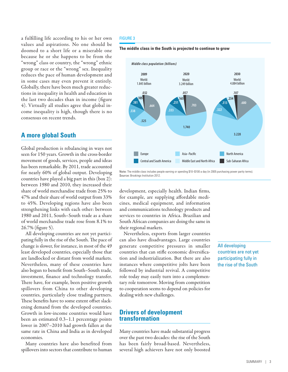a fulfilling life according to his or her own values and aspirations. No one should be doomed to a short life or a miserable one because he or she happens to be from the "wrong" class or country, the "wrong" ethnic group or race or the "wrong" sex. Inequality reduces the pace of human development and in some cases may even prevent it entirely. Globally, there have been much greater reductions in inequality in health and education in the last two decades than in income (figure 4). Virtually all studies agree that global income inequality is high, though there is no consensus on recent trends.

## **A more global South**

Global production is rebalancing in ways not seen for 150 years. Growth in the cross-border movement of goods, services, people and ideas has been remarkable. By 2011, trade accounted for nearly 60% of global output. Developing countries have played a big part in this (box 2): between 1980 and 2010, they increased their share of world merchandise trade from 25% to 47% and their share of world output from 33% to 45%. Developing regions have also been strengthening links with each other: between 1980 and 2011, South–South trade as a share of world merchandise trade rose from 8.1% to 26.7% (figure 5).

All developing countries are not yet participating fully in the rise of the South. The pace of change is slower, for instance, in most of the 49 least developed countries, especially those that are landlocked or distant from world markets. Nevertheless, many of these countries have also begun to benefit from South–South trade, investment, finance and technology transfer. There have, for example, been positive growth spillovers from China to other developing countries, particularly close trading partners. These benefits have to some extent offset slackening demand from the developed countries. Growth in low-income countries would have been an estimated 0.3–1.1 percentage points lower in 2007–2010 had growth fallen at the same rate in China and India as in developed economies.

Many countries have also benefited from spillovers into sectors that contribute to human

#### Figure 3





Note: The middle class includes people earning or spending \$10–\$100 a day (in 2005 purchasing power parity terms). Source: Brookings Institution 2012.

development, especially health. Indian firms, for example, are supplying affordable medicines, medical equipment, and information and communications technology products and services to countries in Africa. Brazilian and South African companies are doing the same in their regional markets.

Nevertheless, exports from larger countries can also have disadvantages. Large countries generate competitive pressures in smaller countries that can stifle economic diversification and industrialization. But there are also instances where competitive jolts have been followed by industrial revival. A competitive role today may easily turn into a complementary role tomorrow. Moving from competition to cooperation seems to depend on policies for dealing with new challenges.

## **Drivers of development transformation**

Many countries have made substantial progress over the past two decades: the rise of the South has been fairly broad-based. Nevertheless, several high achievers have not only boosted

All developing countries are not yet participating fully in the rise of the South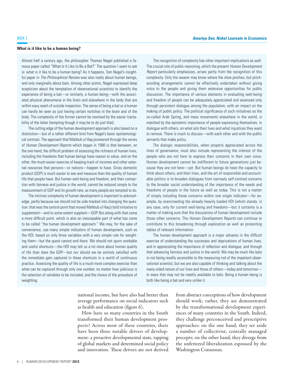#### **What is it like to be a human being?**

Almost half a century ago, the philosopher Thomas Nagel published a famous paper called "What Is It Like to Be a Bat?" The question I want to ask is: what is it like to be a human being? As it happens, Tom Nagel's insightful paper in *The Philosophical Review* was also really about human beings, and only marginally about bats. Among other points, Nagel expressed deep scepticism about the temptation of observational scientists to identify the experience of being a bat—or similarly, a human being—with the associated physical phenomena in the brain and elsewhere in the body that are within easy reach of outside inspection. The sense of being a bat or a human can hardly be seen as just having certain twitches in the brain and of the body. The complexity of the former cannot be resolved by the easier tractability of the latter (tempting though it may be to do just that).

The cutting edge of the human development approach is also based on a distinction—but of a rather different kind from Nagel's basic epistemological contrast. The approach that Mahbub ul Haq pioneered through the series of *Human Development Reports* which began in 1990 is that between, on the one hand, the difficult problem of assessing the richness of human lives, including the freedoms that human beings have reason to value, and on the other, the much easier exercise of keeping track of incomes and other external resources that persons—or nations—happen to have. Gross domestic product (GDP) is much easier to see and measure than the quality of human life that people have. But human well-being and freedom, and their connection with fairness and justice in the world, cannot be reduced simply to the measurement of GDP and its growth rate, as many people are tempted to do.

The intrinsic complexity of human development is important to acknowledge, partly because we should not be side-tracked into changing the question: that was the central point that moved Mahbub ul Haq's bold initiative to supplement—and to some extent supplant—GDP. But along with that came a more difficult point, which is also an inescapable part of what has come to be called "the human development approach." We may, for the sake of convenience, use many simple indicators of human development, such as the HDI, based on only three variables with a very simple rule for weighting them—but the quest cannot end there. We should not spurn workable and useful shortcuts—the HDI may tell us a lot more about human quality of life than does the GDP—but nor should we be entirely satisfied with the immediate gain captured in these shortcuts in a world of continuous practice. Assessing the quality of life is a much more complex exercise than what can be captured through only one number, no matter how judicious is the selection of variables to be included, and the choice of the procedure of weighting.

The recognition of complexity has other important implications as well. The crucial role of public reasoning, which the present *Human Development Report* particularly emphasizes, arises partly from the recognition of this complexity. Only the wearer may know where the shoe pinches, but pinchavoiding arrangements cannot be effectively undertaken without giving voice to the people and giving them extensive opportunities for public discussion. The importance of various elements in evaluating well-being and freedom of people can be adequately appreciated and assessed only through persistent dialogue among the population, with an impact on the making of public policy. The political significance of such initiatives as the so-called Arab Spring, and mass movements elsewhere in the world, is matched by the epistemic importance of people expressing themselves, in dialogue with others, on what ails their lives and what injustices they want to remove. There is much to discuss—with each other and with the public servants that make policy.

The dialogic responsibilities, when properly appreciated across the lines of governance, must also include representing the interest of the people who are not here to express their concerns in their own voice. Human development cannot be indifferent to future generations just because they are not here—yet. But human beings do have the capacity to think about others, and their lives, and the art of responsible and accountable politics is to broaden dialogues from narrowly self-centred concerns to the broader social understanding of the importance of the needs and freedoms of people in the future as well as today. This is not a matter of simply including those concerns within one single indicator—for example, by overcrowding the already heavily loaded HDI (which stands, in any case, only for current well-being and freedom)—but it certainly is a matter of making sure that the discussions of human development include those other concerns. The *Human Development Reports* can continue to contribute to this broadening through explication as well as presenting tables of relevant information.

The human development approach is a major advance in the difficult exercise of understanding the successes and deprivations of human lives, and in appreciating the importance of reflection and dialogue, and through that advancing fairness and justice in the world. We may be much like bats in not being readily accessible to the measuring rod of the impatient observational scientist, but we are also capable of thinking and talking about the many-sided nature of our lives and those of others—today and tomorrow in ways that may not be readily available to bats. Being a human being is both like being a bat and very unlike it.

national income, but have also had better than average performance on social indicators such as health and education (figure 6).

How have so many countries in the South transformed their human development prospects? Across most of these countries, there have been three notable drivers of development: a proactive developmental state, tapping of global markets and determined social policy and innovation. These drivers are not derived

from abstract conceptions of how development should work; rather, they are demonstrated by the transformational development experiences of many countries in the South. Indeed, they challenge preconceived and prescriptive approaches: on the one hand, they set aside a number of collectivist, centrally managed precepts; on the other hand, they diverge from the unfettered liberalization espoused by the Washington Consensus.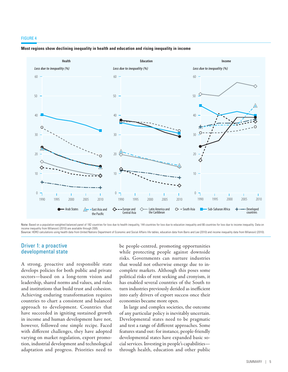#### FIGURE 4



#### **Most regions show declining inequality in health and education and rising inequality in income**

Note: Based on a population-weighted balanced panel of 182 countries for loss due to health inequality, 144 countries for loss due to education inequality and 66 countries for loss due to income inequality. Data on income inequality from Milanović (2010) are available through 2005. Source: HDRO calculations using health data from United Nations Department of Economic and Social Affairs life tables, education data from Barro and Lee (2010) and income inequality data from Milanović (2010).

## Driver 1: a proactive developmental state

A strong, proactive and responsible state develops policies for both public and private sectors—based on a long-term vision and leadership, shared norms and values, and rules and institutions that build trust and cohesion. Achieving enduring transformation requires countries to chart a consistent and balanced approach to development. Countries that have succeeded in igniting sustained growth in income and human development have not, however, followed one simple recipe. Faced with different challenges, they have adopted varying on market regulation, export promotion, industrial development and technological adaptation and progress. Priorities need to be people-centred, promoting opportunities while protecting people against downside risks. Governments can nurture industries that would not otherwise emerge due to incomplete markets. Although this poses some political risks of rent seeking and cronyism, it has enabled several countries of the South to turn industries previously derided as inefficient into early drivers of export success once their economies became more open.

In large and complex societies, the outcome of any particular policy is inevitably uncertain. Developmental states need to be pragmatic and test a range of different approaches. Some features stand out: for instance, people-friendly developmental states have expanded basic social services. Investing in people's capabilities through health, education and other public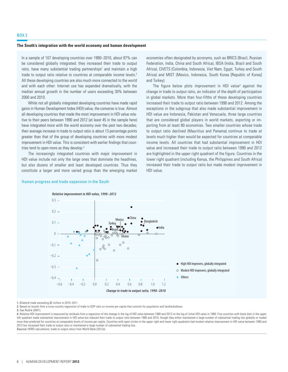#### Box 2

#### **The South's integration with the world economy and human development**

In a sample of 107 developing countries over 1990–2010, about 87% can be considered globally integrated: they increased their trade to output ratio, have many substantial trading partnerships<sup>1</sup> and maintain a high trade to output ratio relative to countries at comparable income levels.<sup>2</sup> All these developing countries are also much more connected to the world and with each other: Internet use has expanded dramatically, with the median annual growth in the number of users exceeding 30% between 2000 and 2010.

While not all globally integrated developing countries have made rapid gains in Human Development Index (HDI) value, the converse is true. Almost all developing countries that made the most improvement in HDI value relative to their peers between 1990 and 2012 (at least 45 in the sample here) have integrated more with the world economy over the past two decades; their average increase in trade to output ratio is about 13 percentage points greater than that of the group of developing countries with more modest improvement in HDI value. This is consistent with earlier findings that countries tend to open more as they develop.<sup>3</sup>

The increasingly integrated countries with major improvement in HDI value include not only the large ones that dominate the headlines, but also dozens of smaller and least developed countries. Thus they constitute a larger and more varied group than the emerging market economies often designated by acronyms, such as BRICS (Brazil, Russian Federation, India, China and South Africa), IBSA (India, Brazil and South Africa), CIVETS (Colombia, Indonesia, Viet Nam, Egypt, Turkey and South Africa) and MIST (Mexico, Indonesia, South Korea [Republic of Korea] and Turkey).

The figure below plots improvement in HDI value<sup>4</sup> against the change in trade to output ratio, an indicator of the depth of participation in global markets. More than four-fifths of these developing countries increased their trade to output ratio between 1990 and 2012. Among the exceptions in the subgroup that also made substantial improvement in HDI value are Indonesia, Pakistan and Venezuela, three large countries that are considered global players in world markets, exporting or importing from at least 80 economies. Two smaller countries whose trade to output ratio declined (Mauritius and Panama) continue to trade at levels much higher than would be expected for countries at comparable income levels. All countries that had substantial improvement in HDI value and increased their trade to output ratio between 1990 and 2012 are highlighted in the upper right quadrant of the figure. Countries in the lower right quadrant (including Kenya, the Philippines and South Africa) increased their trade to output ratio but made modest improvement in HDI value.



## Human progress and trade expansion in the South

1. Bilateral trade exceeding \$2 million in 2010–2011.

2. Based on results from a cross-country regression of trade to GDP ratio on income per capita that controls for population and landlockedness.

3. See Rodrik (2001).

4. Relative HDI improvement is measured by residuals from a regression of the change in the log of HDI value between 1990 and 2012 on the log of initial HDI value in 1990. Five countries with black dots in the upper left quadrant made substantial improvement in HDI value but reduced their trade to output ratio between 1990 and 2010, though they either maintained a large number of substantial trading ties globally or traded more than predicted for countries at comparable levels of income per capita. Countries with open circles in the upper right and lower right quadrants had modest relative improvement in HDI value between 1990 and 2012 but increased their trade to output ratio or maintained a large number of substantial trading ties.

Source: HDRO calculations; trade to output ratios from World Bank (2012a).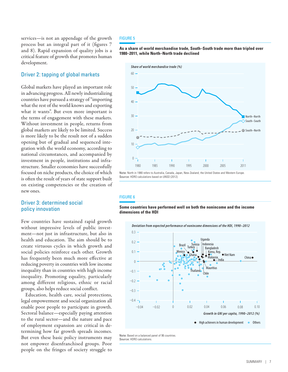services—is not an appendage of the growth process but an integral part of it (figures 7 and 8). Rapid expansion of quality jobs is a critical feature of growth that promotes human development.

## Driver 2: tapping of global markets

Global markets have played an important role in advancing progress. All newly industrializing countries have pursued a strategy of "importing what the rest of the world knows and exporting what it wants". But even more important is the terms of engagement with these markets. Without investment in people, returns from global markets are likely to be limited. Success is more likely to be the result not of a sudden opening but of gradual and sequenced integration with the world economy, according to national circumstances, and accompanied by investment in people, institutions and infrastructure. Smaller economies have successfully focused on niche products, the choice of which is often the result of years of state support built on existing competencies or the creation of new ones.

## Driver 3: determined social policy innovation

Few countries have sustained rapid growth without impressive levels of public investment—not just in infrastructure, but also in health and education. The aim should be to create virtuous cycles in which growth and social policies reinforce each other. Growth has frequently been much more effective at reducing poverty in countries with low income inequality than in countries with high income inequality. Promoting equality, particularly among different religious, ethnic or racial groups, also helps reduce social conflict.

Education, health care, social protections, legal empowerment and social organization all enable poor people to participate in growth. Sectoral balance—especially paying attention to the rural sector—and the nature and pace of employment expansion are critical in determining how far growth spreads incomes. But even these basic policy instruments may not empower disenfranchised groups. Poor people on the fringes of society struggle to

#### Figure 5





Note: North in 1980 refers to Australia, Canada, Japan, New Zealand, the United States and Western Europe. Source: HDRO calculations based on UNSD (2012).

#### Figure 6

**Some countries have performed well on both the nonincome and the income dimensions of the HDI**



Note: Based on a balanced panel of 96 countries. Source: HDRO calculations.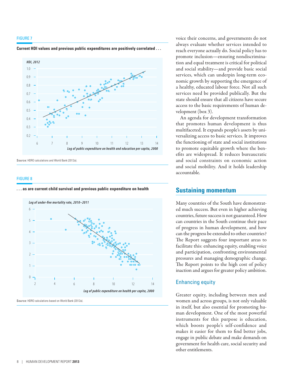#### Figure 7



**Current HDI values and previous public expenditures are positively correlated . . .**

Source: HDRO calculations and World Bank (2012a).

#### Figure 8

**. . . as are current child survival and previous public expenditure on health**



Source: HDRO calculations based on World Bank (2012a).

voice their concerns, and governments do not always evaluate whether services intended to reach everyone actually do. Social policy has to promote inclusion—ensuring nondiscrimination and equal treatment is critical for political and social stability—and provide basic social services, which can underpin long-term economic growth by supporting the emergence of a healthy, educated labour force. Not all such services need be provided publically. But the state should ensure that all citizens have secure access to the basic requirements of human development (box 3).

An agenda for development transformation that promotes human development is thus multifaceted. It expands people's assets by universalizing access to basic services. It improves the functioning of state and social institutions to promote equitable growth where the benefits are widespread. It reduces bureaucratic and social constraints on economic action and social mobility. And it holds leadership accountable.

## **Sustaining momentum**

Many countries of the South have demonstrated much success. But even in higher achieving countries, future success is not guaranteed. How can countries in the South continue their pace of progress in human development, and how can the progress be extended to other countries? The Report suggests four important areas to facilitate this: enhancing equity, enabling voice and participation, confronting environmental pressures and managing demographic change. The Report points to the high cost of policy inaction and argues for greater policy ambition.

## Enhancing equity

Greater equity, including between men and women and across groups, is not only valuable in itself, but also essential for promoting human development. One of the most powerful instruments for this purpose is education, which boosts people's self-confidence and makes it easier for them to find better jobs, engage in public debate and make demands on government for health care, social security and other entitlements.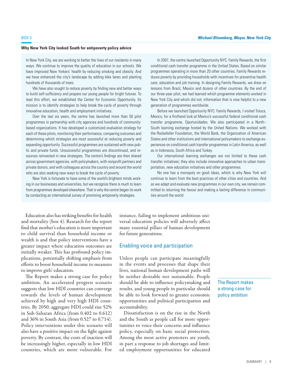#### **Why New York City looked South for antipoverty policy advice**

In New York City, we are working to better the lives of our residents in many ways. We continue to improve the quality of education in our schools. We have improved New Yorkers' health by reducing smoking and obesity. And we have enhanced the city's landscape by adding bike lanes and planting hundreds of thousands of trees.

We have also sought to reduce poverty by finding new and better ways to build self-sufficiency and prepare our young people for bright futures. To lead this effort, we established the Center for Economic Opportunity. Its mission is to identify strategies to help break the cycle of poverty through innovative education, health and employment initiatives.

Over the last six years, the centre has launched more than 50 pilot programmes in partnership with city agencies and hundreds of communitybased organizations. It has developed a customized evaluation strategy for each of these pilots, monitoring their performance, comparing outcomes and determining which strategies are most successful at reducing poverty and expanding opportunity. Successful programmes are sustained with new public and private funds. Unsuccessful programmes are discontinued, and resources reinvested in new strategies. The centre's findings are then shared across government agencies, with policymakers, with nonprofit partners and private donors, and with colleagues across the country and around the world who are also seeking new ways to break the cycle of poverty.

New York is fortunate to have some of the world's brightest minds working in our businesses and universities, but we recognize there is much to learn from programmes developed elsewhere. That is why the centre began its work by conducting an international survey of promising antipoverty strategies.

In 2007, the centre launched Opportunity NYC: Family Rewards, the first conditional cash transfer programme in the United States. Based on similar programmes operating in more than 20 other countries, Family Rewards reduces poverty by providing households with incentives for preventive health care, education and job training. In designing Family Rewards, we drew on lessons from Brazil, Mexico and dozens of other countries. By the end of our three-year pilot, we had learned which programme elements worked in New York City and which did not; information that is now helpful to a new generation of programmes worldwide.

Before we launched Opportunity NYC: Family Rewards, I visited Toluca, Mexico, for a firsthand look at Mexico's successful federal conditional cash transfer programme, Oportunidades. We also participated in a North– South learning exchange hosted by the United Nations. We worked with the Rockefeller Foundation, the World Bank, the Organization of American States and other institutions and international policymakers to exchange experiences on conditional cash transfer programmes in Latin America, as well as in Indonesia, South Africa and Turkey.

Our international learning exchanges are not limited to these cash transfer initiatives; they also include innovative approaches to urban transportation, new education initiatives and other programmes.

No one has a monopoly on good ideas, which is why New York will continue to learn from the best practices of other cities and countries. And as we adapt and evaluate new programmes in our own city, we remain committed to returning the favour and making a lasting difference in communities around the world.

Education also has striking benefits for health and mortality (box 4). Research for the report find that mother's education is more important to child survival than household income or wealth is and that policy interventions have a greater impact where education outcomes are initially weaker. This has profound policy implications, potentially shifting emphasis from efforts to boost household income to measures to improve girls' education.

The Report makes a strong case for policy ambition. An accelerated progress scenario suggests that low HDI countries can converge towards the levels of human development achieved by high and very high HDI countries. By 2050, aggregate HDI could rise 52% in Sub-Saharan Africa (from 0.402 to 0.612) and 36% in South Asia (from 0.527 to 0.714). Policy interventions under this scenario will also have a positive impact on the fight against poverty. By contrast, the costs of inaction will be increasingly higher, especially in low HDI countries, which are more vulnerable. For instance, failing to implement ambitious universal education policies will adversely affect many essential pillars of human development for future generations.

### Enabling voice and participation

Unless people can participate meaningfully in the events and processes that shape their lives, national human development paths will be neither desirable nor sustainable. People should be able to influence policymaking and results, and young people in particular should be able to look forward to greater economic opportunities and political participation and accountability.

Dissatisfaction is on the rise in the North and the South as people call for more opportunities to voice their concerns and influence policy, especially on basic social protection. Among the most active protesters are youth, in part a response to job shortages and limited employment opportunities for educated

The Report makes a strong case for policy ambition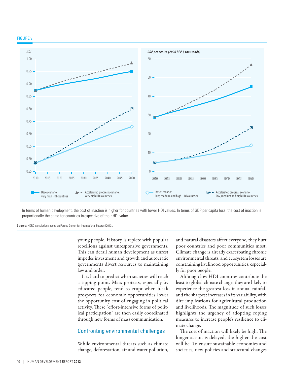#### FIGURE 9



In terms of human development, the cost of inaction is higher for countries with lower HDI values. In terms of GDP per capita loss, the cost of inaction is proportionally the same for countries irrespective of their HDI value.

Source: HDRO calculations based on Pardee Center for International Futures (2013).

young people. History is replete with popular rebellions against unresponsive governments. This can derail human development as unrest impedes investment and growth and autocratic governments divert resources to maintaining law and order.

It is hard to predict when societies will reach a tipping point. Mass protests, especially by educated people, tend to erupt when bleak prospects for economic opportunities lower the opportunity cost of engaging in political activity. These "effort-intensive forms of political participation" are then easily coordinated through new forms of mass communication.

## Confronting environmental challenges

While environmental threats such as climate change, deforestation, air and water pollution,

and natural disasters affect everyone, they hurt poor countries and poor communities most. Climate change is already exacerbating chronic environmental threats, and ecosystem losses are constraining livelihood opportunities, especially for poor people.

Although low HDI countries contribute the least to global climate change, they are likely to experience the greatest loss in annual rainfall and the sharpest increases in its variability, with dire implications for agricultural production and livelihoods. The magnitude of such losses highlights the urgency of adopting coping measures to increase people's resilience to climate change.

The cost of inaction will likely be high. The longer action is delayed, the higher the cost will be. To ensure sustainable economies and societies, new policies and structural changes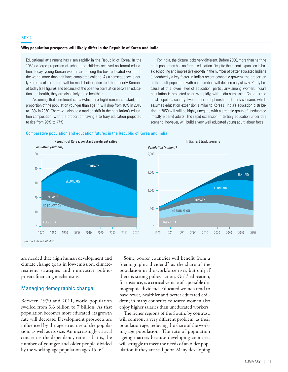#### Box 4

#### **Why population prospects will likely differ in the Republic of Korea and India**

Educational attainment has risen rapidly in the Republic of Korea. In the 1950s a large proportion of school-age children received no formal education. Today, young Korean women are among the best educated women in the world: more than half have completed college. As a consequence, elderly Koreans of the future will be much better educated than elderly Koreans of today (see figure), and because of the positive correlation between education and health, they are also likely to be healthier.

Assuming that enrolment rates (which are high) remain constant, the proportion of the population younger than age 14 will drop from 16% in 2010 to 13% in 2050. There will also be a marked shift in the population's education composition, with the proportion having a tertiary education projected to rise from 26% to 47%.

For India, the picture looks very different. Before 2000, more than half the adult population had no formal education. Despite the recent expansion in basic schooling and impressive growth in the number of better educated Indians (undoubtedly a key factor in India's recent economic growth), the proportion of the adult population with no education will decline only slowly. Partly because of this lower level of education, particularly among women, India's population is projected to grow rapidly, with India surpassing China as the most populous country. Even under an optimistic fast track scenario, which assumes education expansion similar to Korea's, India's education distribution in 2050 will still be highly unequal, with a sizeable group of uneducated (mostly elderly) adults. The rapid expansion in tertiary education under this scenario, however, will build a very well educated young adult labour force.





are needed that align human development and climate change goals in low-emission, climateresilient strategies and innovative publicprivate financing mechanisms.

## Managing demographic change

Between 1970 and 2011, world population swelled from 3.6 billion to 7 billion. As that population becomes more educated, its growth rate will decrease. Development prospects are influenced by the age structure of the population, as well as its size. An increasingly critical concern is the dependency ratio—that is, the number of younger and older people divided by the working-age population ages 15–64.

Some poorer countries will benefit from a "demographic dividend" as the share of the population in the workforce rises, but only if there is strong policy action. Girls' education, for instance, is a critical vehicle of a possible demographic dividend. Educated women tend to have fewer, healthier and better educated children; in many countries educated women also enjoy higher salaries than uneducated workers.

The richer regions of the South, by contrast, will confront a very different problem, as their population age, reducing the share of the working-age population. The rate of population ageing matters because developing countries will struggle to meet the needs of an older population if they are still poor. Many developing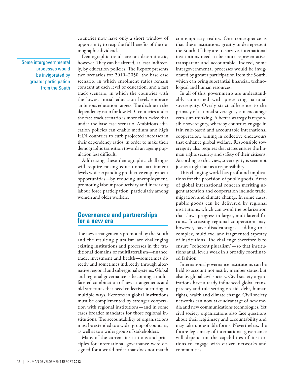countries now have only a short window of opportunity to reap the full benefits of the demographic dividend.

Demographic trends are not deterministic, however. They can be altered, at least indirectly, by education policies. The Report presents two scenarios for 2010–2050: the base case scenario, in which enrolment ratios remain constant at each level of education, and a fast track scenario, in which the countries with the lowest initial education levels embrace ambitious education targets. The decline in the dependency ratio for low HDI countries under the fast track scenario is more than twice that under the base case scenario. Ambitious education policies can enable medium and high HDI countries to curb projected increases in their dependency ratios, in order to make their demographic transition towards an ageing population less difficult.

Addressing these demographic challenges will require raising educational attainment levels while expanding productive employment opportunities—by reducing unemployment, promoting labour productivity and increasing labour force participation, particularly among women and older workers.

## **Governance and partnerships for a new era**

The new arrangements promoted by the South and the resulting pluralism are challenging existing institutions and processes in the traditional domains of multilateralism—finance, trade, investment and health—sometimes directly and sometimes indirectly through alternative regional and subregional systems. Global and regional governance is becoming a multifaceted combination of new arrangements and old structures that need collective nurturing in multiple ways. Reforms in global institutions must be complemented by stronger cooperation with regional institutions—and in some cases broader mandates for those regional institutions. The accountability of organizations must be extended to a wider group of countries, as well as to a wider group of stakeholders.

Many of the current institutions and principles for international governance were designed for a world order that does not match

contemporary reality. One consequence is that these institutions greatly underrepresent the South. If they are to survive, international institutions need to be more representative, transparent and accountable. Indeed, some intergovernmental processes would be invigorated by greater participation from the South, which can bring substantial financial, technological and human resources.

In all of this, governments are understandably concerned with preserving national sovereignty. Overly strict adherence to the primacy of national sovereignty can encourage zero-sum thinking. A better strategy is responsible sovereignty, whereby countries engage in fair, rule-based and accountable international cooperation, joining in collective endeavours that enhance global welfare. Responsible sovereignty also requires that states ensure the human rights security and safety of their citizens. According to this view, sovereignty is seen not just as a right but as a responsibility.

This changing world has profound implications for the provision of public goods. Areas of global international concern meriting urgent attention and cooperation include trade, migration and climate change. In some cases, public goods can be delivered by regional institutions, which can avoid the polarization that slows progress in larger, multilateral forums. Increasing regional cooperation may, however, have disadvantages—adding to a complex, multilevel and fragmented tapestry of institutions. The challenge therefore is to ensure "coherent pluralism"—so that institutions at all levels work in a broadly coordinated fashion.

International governance institutions can be held to account not just by member states, but also by global civil society. Civil society organizations have already influenced global transparency and rule setting on aid, debt, human rights, health and climate change. Civil society networks can now take advantage of new media and new communications technologies. Yet civil society organizations also face questions about their legitimacy and accountability and may take undesirable forms. Nevertheless, the future legitimacy of international governance will depend on the capabilities of institutions to engage with citizen networks and communities.

Some intergovernmental processes would be invigorated by greater participation from the South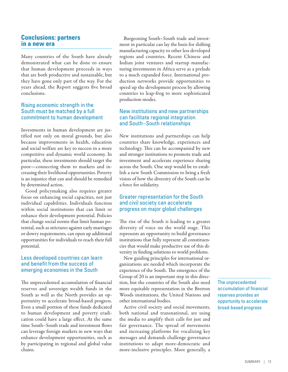## **Conclusions: partners in a new era**

Many countries of the South have already demonstrated what can be done to ensure that human development proceeds in ways that are both productive and sustainable, but they have gone only part of the way. For the years ahead, the Report suggests five broad conclusions.

## Rising economic strength in the South must be matched by a full commitment to human development

Investments in human development are justified not only on moral grounds, but also because improvements in health, education and social welfare are key to success in a more competitive and dynamic world economy. In particular, these investments should target the poor—connecting them to markets and increasing their livelihood opportunities. Poverty is an injustice that can and should be remedied by determined action.

Good policymaking also requires greater focus on enhancing social capacities, not just individual capabilities. Individuals function within social institutions that can limit or enhance their development potential. Policies that change social norms that limit human potential, such as strictures against early marriages or dowry requirements, can open up additional opportunities for individuals to reach their full potential.

## Less developed countries can learn and benefit from the success of emerging economies in the South

The unprecedented accumulation of financial reserves and sovereign wealth funds in the South as well as the North provides an opportunity to accelerate broad-based progress. Even a small portion of these funds dedicated to human development and poverty eradication could have a large effect. At the same time South–South trade and investment flows can leverage foreign markets in new ways that enhance development opportunities, such as by participating in regional and global value chains.

Burgeoning South–South trade and investment in particular can lay the basis for shifting manufacturing capacity to other less developed regions and countries. Recent Chinese and Indian joint ventures and startup manufacturing investments in Africa serve as a prelude to a much expanded force. International production networks provide opportunities to speed up the development process by allowing countries to leap-frog to more sophisticated production modes.

## New institutions and new partnerships can facilitate regional integration and South–South relationships

New institutions and partnerships can help countries share knowledge, experiences and technology. This can be accompanied by new and stronger institutions to promote trade and investment and accelerate experience sharing across the South. One step would be to establish a new South Commission to bring a fresh vision of how the diversity of the South can be a force for solidarity.

## Greater representation for the South and civil society can accelerate progress on major global challenges

The rise of the South is leading to a greater diversity of voice on the world stage. This represents an opportunity to build governance institutions that fully represent all constituencies that would make productive use of this diversity in finding solutions to world problems.

New guiding principles for international organizations are needed which incorporate the experience of the South. The emergence of the Group of 20 is an important step in this direction, but the countries of the South also need more equitable representation in the Bretton Woods institutions, the United Nations and other international bodies.

Active civil society and social movements, both national and transnational, are using the media to amplify their calls for just and fair governance. The spread of movements and increasing platforms for vocalizing key messages and demands challenge governance institutions to adapt more-democratic and more-inclusive principles. More generally, a

The unprecedented accumulation of financial reserves provides an opportunity to accelerate broad-based progress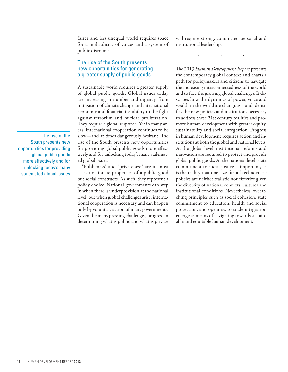fairer and less unequal world requires space for a multiplicity of voices and a system of public discourse.

## The rise of the South presents new opportunities for generating a greater supply of public goods

A sustainable world requires a greater supply of global public goods. Global issues today are increasing in number and urgency, from mitigation of climate change and international economic and financial instability to the fight against terrorism and nuclear proliferation. They require a global response. Yet in many areas, international cooperation continues to be slow—and at times dangerously hesitant. The rise of the South presents new opportunities for providing global public goods more effectively and for unlocking today's many stalemated global issues.

"Publicness" and "privateness" are in most cases not innate properties of a public good but social constructs. As such, they represent a policy choice. National governments can step in when there is underprovision at the national level, but when global challenges arise, international cooperation is necessary and can happen only by voluntary action of many governments. Given the many pressing challenges, progress in determining what is public and what is private will require strong, committed personal and institutional leadership.

 $*$  \* \*

The 2013 *Human Development Report* presents the contemporary global context and charts a path for policymakers and citizens to navigate the increasing interconnectedness of the world and to face the growing global challenges. It describes how the dynamics of power, voice and wealth in the world are changing—and identifies the new policies and institutions necessary to address these 21st century realities and promote human development with greater equity, sustainability and social integration. Progress in human development requires action and institutions at both the global and national levels. At the global level, institutional reforms and innovation are required to protect and provide global public goods. At the national level, state commitment to social justice is important, as is the reality that one-size-fits-all technocratic policies are neither realistic nor effective given the diversity of national contexts, cultures and institutional conditions. Nevertheless, overarching principles such as social cohesion, state commitment to education, health and social protection, and openness to trade integration emerge as means of navigating towards sustainable and equitable human development.

The rise of the South presents new opportunities for providing global public goods more effectively and for unlocking today's many stalemated global issues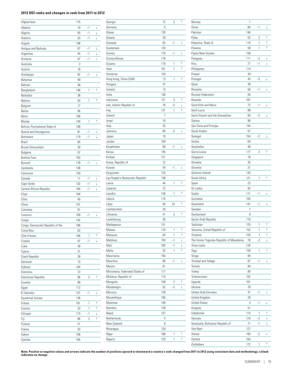## **2012 HDI ranks and changes in rank from 2011 to 2012**

| Afghanistan                       | 175            |         |            |
|-----------------------------------|----------------|---------|------------|
| Albania                           | 70             | -1      | ↓          |
| Algeria                           | 93             | $-1$    | ↓          |
| Andorra                           | 33             | $^{-1}$ | ↓          |
| Angola                            | 148            |         |            |
| Antigua and Barbuda               | 67             | $-1$    | ↓          |
| Argentina                         | 45             | $-1$    | ↓          |
| Armenia                           | 87             | $-1$    | ↓          |
| Australia                         | $\overline{2}$ |         |            |
| Austria                           | 18             |         |            |
| Azerbaijan                        | 82             | $-1$    | ↓          |
| <b>Bahamas</b>                    | 49             |         |            |
| Bahrain                           | 48             |         |            |
| Bangladesh                        | 146            | 1       | $\uparrow$ |
| Barbados                          | 38             |         |            |
| <b>Belarus</b>                    | 50             | 1       | ↑          |
| Belgium                           | 17             |         |            |
| Belize                            | 96             |         |            |
| Benin                             | 166            |         |            |
| Bhutan                            | 140            | 1       | ↑          |
| Bolivia, Plurinational State of   | 108            |         |            |
| Bosnia and Herzegovina            | 81             | -1      | ↓          |
| Botswana                          | 119            | $-1$    | ↓          |
| Brazil                            | 85             |         |            |
| Brunei Darussalam                 | 30             |         |            |
| Bulgaria                          | 57             |         |            |
| Burkina Faso                      | 183            |         |            |
| Burundi                           | 178            | -1      | ↓          |
| Cambodia                          | 138            |         |            |
| Cameroon                          | 150            |         |            |
| Canada                            | 11             | $-1$    | ↓          |
| Cape Verde                        | 132            | $-1$    | ↓          |
| Central African Republic          | 180            | $^{-1}$ | ↓          |
| Chad                              | 184            |         |            |
| Chile                             | 40             |         |            |
| China                             | 101            |         |            |
| Colombia                          | 91             |         |            |
| Comoros                           | 169            | $-1$    | ↓          |
| Congo                             | 142            |         |            |
| Congo, Democratic Republic of the | 186            |         |            |
| Costa Rica                        | 62             |         |            |
| Côte d'Ivoire                     | 168            | 1       | ↑          |
| Croatia                           | 47             | -1      | ↓          |
| Cuba                              | 59             |         |            |
| Cyprus                            | 31             |         |            |
| Czech Republic                    | 28             |         |            |
| Denmark                           | 15             |         |            |
| Djibouti                          | 164            |         |            |
| Dominica                          | 72             |         |            |
| Dominican Republic                | 96             | 2       | ↑          |
| Ecuador                           | 89             |         |            |
| Egypt                             | 112            |         |            |
| El Salvador                       |                | $-1$    | ↓          |
| <b>Equatorial Guinea</b>          | 107<br>136     |         |            |
| Eritrea                           | 181            | 1       | ↑          |
| Estonia                           | 33             | 1       | ↑          |
|                                   |                | -1      | ↓          |
| Ethiopia                          | 173<br>96      | 2       | ↑          |
| Fiji<br>Finland                   |                |         |            |
|                                   | 21             |         |            |
| France                            | 20             |         |            |
| Gabon<br>Gambia                   | 106<br>165     |         |            |
|                                   |                |         |            |

| Georgia                          | 72  | 3    | ↑          |
|----------------------------------|-----|------|------------|
| Germany                          | 5   |      |            |
| Ghana                            | 135 |      |            |
| Greece                           | 29  |      |            |
| Grenada                          | 63  | $-1$ | ↓          |
| Guatemala                        | 133 |      |            |
| Guinea                           | 178 | $-1$ | ↓          |
| Guinea-Bissau                    | 176 |      |            |
|                                  |     | 1    | ↑          |
| Guyana                           | 118 |      |            |
| Haiti                            | 161 | 1    | ↑          |
| Honduras                         | 120 |      |            |
| Hong Kong, China (SAR)           | 13  | 1    | ↑          |
| Hungary                          | 37  |      |            |
| Iceland                          | 13  |      |            |
| India                            | 136 |      |            |
| Indonesia                        | 121 | 3    | ↑          |
| Iran, Islamic Republic of        | 76  | $-2$ | ↓          |
| Iraq                             | 131 | 1    | ↑          |
| Ireland                          | 7   |      |            |
| Israel                           | 16  |      |            |
| Italy                            | 25  |      |            |
| Jamaica                          | 85  | $-2$ | ↓          |
|                                  |     |      |            |
| Japan                            | 10  |      |            |
| Jordan                           | 100 |      |            |
| Kazakhstan                       | 69  | $-1$ | ↓          |
| Kenya                            | 145 |      |            |
| Kiribati                         | 121 |      |            |
| Korea, Republic of               | 12  |      |            |
| Kuwait                           | 54  | $-1$ | ↓          |
| Kyrgyzstan                       | 125 |      |            |
| Lao People's Democratic Republic | 138 |      |            |
| Latvia                           | 44  | 1    | ↑          |
| Lebanon                          | 72  |      |            |
| Lesotho                          | 158 | 1    | ↑          |
| Liberia                          | 174 |      |            |
|                                  |     |      |            |
| Libya                            | 64  | 23   | ↑          |
| Liechtenstein                    | 24  |      |            |
| Lithuania                        | 41  | 2    | ↑          |
| Luxembourg                       | 26  |      |            |
| Madagascar                       | 151 |      |            |
| Malawi                           | 170 | 1    | $\uparrow$ |
| Malaysia                         | 64  | 1    | $\uparrow$ |
| Maldives                         | 104 | $-1$ | t          |
| Mali                             | 182 | $-1$ | ↓          |
| Malta                            | 32  | 1    | $\uparrow$ |
| Mauritania                       | 155 |      |            |
| Mauritius                        | 80  | $-1$ | ↓          |
|                                  |     |      |            |
| Mexico                           | 61  |      |            |
| Micronesia, Federated States of  | 117 |      |            |
| Moldova, Republic of             | 113 |      |            |
| Mongolia                         | 108 | 2    | ↑          |
| Montenegro                       | 52  | -2   | ↓          |
| Morocco                          | 130 |      |            |
| Mozambique                       | 185 |      |            |
| Myanmar                          | 149 |      |            |
| Namibia                          | 128 |      |            |
| Nepal                            | 157 |      |            |
| Netherlands                      | 4   |      |            |
| New Zealand                      |     |      |            |
|                                  | 6   |      |            |
| Nicaragua                        | 129 |      |            |
| Niger                            | 186 | 1    | ↑          |
| Nigeria                          | 153 | 1    | $\uparrow$ |
|                                  |     |      |            |

| Norway                                    | 1   |         |            |
|-------------------------------------------|-----|---------|------------|
| Oman                                      | 84  | $-1$    | ↓          |
| Pakistan                                  | 146 |         |            |
| Palau                                     | 52  | 2       | ↑          |
| Palestine, State of                       | 110 | 1       | $\uparrow$ |
| Panama                                    | 59  | 1       | ↑          |
| Papua New Guinea                          | 156 |         |            |
| Paraguay                                  | 111 | -2      | ↓          |
| Peru                                      | 77  | $-1$    | ↓          |
|                                           | 114 |         |            |
| Philippines                               |     |         |            |
| Poland                                    | 39  |         |            |
| Portugal                                  | 43  | $-3$    | ↓          |
| Qatar                                     | 36  |         |            |
| Romania                                   | 56  | $-1$    | ↓          |
| <b>Russian Federation</b>                 | 55  |         |            |
| Rwanda                                    | 167 |         |            |
| Saint Kitts and Nevis                     | 72  | $-1$    | ↓          |
| Saint Lucia                               | 88  |         |            |
| Saint Vincent and the Grenadines          | 83  | $-2$    | ↓          |
| Samoa                                     | 96  |         |            |
| Sao Tome and Principe                     | 144 |         |            |
| Saudi Arabia                              | 57  |         |            |
| Senegal                                   | 154 | $^{-2}$ | ↓          |
| Serbia                                    | 64  |         |            |
|                                           |     |         |            |
| Seychelles                                | 46  |         |            |
| Sierra Leone                              | 177 | 2       | ↑          |
| Singapore                                 | 18  |         |            |
| Slovakia                                  | 35  |         |            |
| Slovenia                                  | 21  |         |            |
| Solomon Islands                           | 143 |         |            |
| South Africa                              | 121 | 1       | ↑          |
| Spain                                     | 23  |         |            |
| Sri Lanka                                 | 92  |         |            |
| Sudan                                     | 171 | $-1$    | ↓          |
| Suriname                                  | 105 |         |            |
| Swaziland                                 | 141 | -1      | ↓          |
| Sweden                                    | 7   |         |            |
| Switzerland                               | 9   |         |            |
|                                           |     |         |            |
| Syrian Arab Republic                      | 116 |         |            |
| Tajikistan                                | 125 | 1       | ↑          |
| Tanzania, United Republic of              | 152 | 1       | ↑          |
| Thailand                                  | 103 | 1       | $\uparrow$ |
| The former Yugoslav Republic of Macedonia | 78  | -2      | ↓          |
| Timor-Leste                               | 134 |         |            |
| Togo                                      | 159 | 1       | ↑          |
| Tonga                                     | 95  |         |            |
| Trinidad and Tobago                       | 67  | $^{-1}$ | ↓          |
| Tunisia                                   | 94  |         |            |
| Turkey                                    | 90  |         |            |
| Turkmenistan                              | 102 |         |            |
| Uganda                                    | 161 |         |            |
| Ukraine                                   | 78  |         |            |
|                                           |     |         |            |
| United Arab Emirates                      | 41  | $^{-1}$ | ↓          |
| United Kingdom                            | 26  |         |            |
| <b>United States</b>                      | 3   | $-1$    | ↓          |
| Uruguay                                   | 51  |         |            |
| Uzbekistan                                | 114 | 1       | ↑          |
| Vanuatu                                   | 124 | $-2$    | ↓          |
| Venezuela, Bolivarian Republic of         | 71  | $-1$    | ↓          |
| Viet Nam                                  | 127 |         |            |
| Yemen                                     | 160 | -2      | ↓          |
| Zambia                                    | 163 |         |            |
| Zimbabwe                                  | 172 | 1       | ↑          |
|                                           |     |         |            |

**Note: Positive or negative values and arrows indicate the number of positions upward or downward a country's rank changed from 2011 to 2012 using consistent data and methodology; a blank indicates no change.**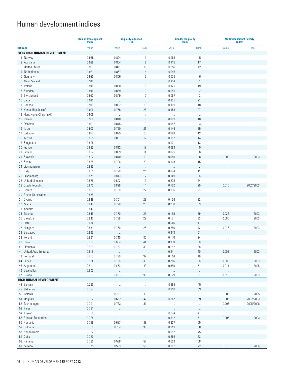## Human development indices

| <b>HDI rank</b><br>Value<br>Rank<br>Value<br>Rank<br>Value<br>Value<br>Year<br><b>VERY HIGH HUMAN DEVELOPMENT</b><br>0.955<br>5<br>0.894<br>$\mathbf{1}$<br>0.065<br>1 Norway<br>$\ldots$<br>$\overline{2}$<br>0.938<br>0.864<br>0.115<br>17<br>2 Australia<br>0.937<br>0.256<br>42<br>3 United States<br>0.821<br>16<br>$\ddotsc$<br>0.921<br>0.857<br>$\overline{4}$<br>0.045<br>$\overline{1}$<br>4 Netherlands<br>$\ddotsc$<br>0.920<br>0.856<br>5<br>0.075<br>$\,6\,$<br>5 Germany<br><br>6 New Zealand<br>0.919<br>0.164<br>31<br>$\cdot$<br>$\ddotsc$<br>7 Ireland<br>0.916<br>19<br>0.850<br>6<br>0.121<br>$\ldots$<br>$\sqrt{3}$<br>$\overline{2}$<br>7 Sweden<br>0.916<br>0.859<br>0.055<br>9 Switzerland<br>0.913<br>0.849<br>$\overline{7}$<br>0.057<br>$\mathbf{3}$<br>$\ldots$<br>0.912<br>21<br>10 Japan<br>0.131<br>$\ddotsc$<br>$\cdot$<br>$\ddot{\phantom{a}}$<br>11 Canada<br>0.911<br>0.832<br>18<br>13<br>0.119<br>$\ldots$<br>0.909<br>28<br>27<br>12 Korea, Republic of<br>0.758<br>0.153<br>13 Hong Kong, China (SAR)<br>0.906<br>$\ldots$<br>$\sim$<br>$\sim$<br>$\ldots$<br>$\ldots$<br>13 Iceland<br>0.906<br>$\, 8$<br>0.848<br>0.089<br>10<br>$\ddotsc$<br>15 Denmark<br>0.901<br>0.845<br>9<br>0.057<br>$\mathbf{3}$<br>$\ldots$<br>0.900<br>0.790<br>21<br>25<br>16 Israel<br>0.144<br>0.897<br>0.825<br>15<br>0.098<br>12<br>17 Belgium<br>$\ldots$<br>12<br>18 Austria<br>0.895<br>0.837<br>0.102<br>14<br>18 Singapore<br>0.895<br>0.101<br>13<br>$\sim$ 10 $\mu$<br>$\ldots$<br>$\ldots$<br>$\boldsymbol{9}$<br>0.893<br>0.083<br>20 France<br>0.812<br>18<br>0.892<br>0.075<br>6<br>21 Finland<br>0.839<br>11<br>$\ldots$<br>0.892<br>2003<br>21 Slovenia<br>0.840<br>10<br>0.080<br>$\, 8$<br>0.000<br>23 Spain<br>0.885<br>0.796<br>20<br>0.103<br>15<br>$\ldots$<br>24 Liechtenstein<br>0.883<br>$\ddotsc$<br>$\ddotsc$<br>$\ddotsc$<br>$\ddot{\phantom{0}}$<br>25 Italy<br>0.881<br>24<br>0.776<br>0.094<br>11<br><br>26 Luxembourg<br>0.875<br>0.813<br>17<br>$26\,$<br>0.149<br>26 United Kingdom<br>0.875<br>0.802<br>34<br>19<br>0.205<br>$\ddotsc$<br>0.873<br>28 Czech Republic<br>0.826<br>14<br>0.122<br>$20\,$<br>2002/2003<br>0.010<br>0.860<br>0.760<br>27<br>0.136<br>23<br>29 Greece<br>$\ldots$<br>30 Brunei Darussalam<br>0.855<br>$\ddotsc$<br>31 Cyprus<br>0.848<br>0.751<br>29<br>0.134<br>22<br>$\ldots$<br>32 Malta<br>0.847<br>23<br>39<br>0.778<br>0.236<br>$\ddotsc$<br>0.846<br>33 Andorra<br>$\ldots$<br>$\ldots$<br>$\ldots$<br>$\ldots$<br>$\ldots$<br>2003<br>33 Estonia<br>0.846<br>29<br>0.770<br>25<br>0.158<br>0.026<br>35 Slovakia<br>0.840<br>0.788<br>22<br>32<br>0.000<br>2003<br>0.171<br>0.834<br>36 Qatar<br>0.546<br>117<br>$\ddotsc$<br>37 Hungary<br>0.831<br>0.769<br>26<br>0.256<br>42<br>0.016<br>2003<br>38 Barbados<br>0.825<br>0.343<br>61<br>$\cdot$<br>0.821<br>24<br>39 Poland<br>0.740<br>30<br>0.140<br>$\ddotsc$<br>40 Chile<br>0.819<br>0.664<br>41<br>0.360<br>66<br>Ω.<br>28<br>0.818<br>0.727<br>33<br>0.157<br>41 Lithuania<br>41 United Arab Emirates<br>0.818<br>0.241<br>$40\,$<br>0.002<br>2003<br>$\sim$<br>$\ldots$<br>43 Portugal<br>0.816<br>0.729<br>32<br>0.114<br>16<br>$\sim$ $\sim$<br>$35\,$<br>$36\,$<br>44 Latvia<br>0.814<br>0.726<br>0.216<br>0.006<br>2003<br>43<br>45 Argentina<br>0.811<br>0.653<br>0.380<br>71<br>0.011<br>2005<br>46 Seychelles<br>0.806<br>$\mathbb{Z}^2$<br>$\ddot{\phantom{1}}$<br>$\bar{\alpha}$<br>$\cdot$ .<br>$\ddot{\phantom{1}}$<br>2003<br>47 Croatia<br>0.805<br>0.683<br>39<br>0.179<br>33<br>0.016<br>HIGH HUMAN DEVELOPMENT<br>0.796<br>48 Bahrain<br>0.258<br>45<br>$\sim$<br>$\bar{a}$<br>$\bar{\mathcal{A}}$<br>0.794<br>$53\,$<br>49 Bahamas<br>0.316<br>$\sim$<br>$\ldots$<br>$\sim$<br>50 Belarus<br>0.793<br>33<br>2005<br>0.727<br>0.000<br>$\sim$ $\sim$<br>$\bar{\mathcal{A}}$<br>0.792<br>51 Uruguay<br>0.662<br>42<br>0.367<br>69<br>0.006<br>2002/2003<br>52 Montenegro<br>0.791<br>0.733<br>0.006<br>2005/2006<br>31<br>$\sim 10$<br>$\ldots$<br>0.791<br>52 Palau<br>$\sim$<br>$\ldots$<br>$\sim$ $\sim$<br>$\ldots$<br>$\cdot$<br>0.790<br>54 Kuwait<br>0.274<br>47<br>$\bar{\mathcal{A}}$<br>$\sim$<br>$\bar{\phantom{a}}$<br>0.788<br>2003<br>55 Russian Federation<br>0.312<br>$51\,$<br>0.005<br>$\sim$<br>$\ldots$<br>56 Romania<br>0.786<br>0.687<br>38<br>0.327<br>55<br>$\ldots$<br>0.782<br>36<br>38<br>57 Bulgaria<br>0.704<br>0.219<br>57 Saudi Arabia<br>0.782<br>0.682<br>145<br>$\bar{\mathcal{A}}$<br>$\bar{u}$<br>$\cdot$<br>0.780<br>59 Cuba<br>63<br>0.356<br>$\sim$<br>$\ldots$<br>$\ddotsc$<br>0.780<br>59 Panama<br>0.588<br>57<br>0.503<br>108<br>$\ldots$<br>0.775<br>2006<br>61 Mexico<br>0.593<br>55<br>0.382<br>72<br>0.015 |  | <b>Human Development</b><br>Index | <b>Inequality-adjusted</b><br>HDI | <b>Gender Inequality</b><br>Index |  | <b>Multidimensional Poverty</b><br>Index |
|-------------------------------------------------------------------------------------------------------------------------------------------------------------------------------------------------------------------------------------------------------------------------------------------------------------------------------------------------------------------------------------------------------------------------------------------------------------------------------------------------------------------------------------------------------------------------------------------------------------------------------------------------------------------------------------------------------------------------------------------------------------------------------------------------------------------------------------------------------------------------------------------------------------------------------------------------------------------------------------------------------------------------------------------------------------------------------------------------------------------------------------------------------------------------------------------------------------------------------------------------------------------------------------------------------------------------------------------------------------------------------------------------------------------------------------------------------------------------------------------------------------------------------------------------------------------------------------------------------------------------------------------------------------------------------------------------------------------------------------------------------------------------------------------------------------------------------------------------------------------------------------------------------------------------------------------------------------------------------------------------------------------------------------------------------------------------------------------------------------------------------------------------------------------------------------------------------------------------------------------------------------------------------------------------------------------------------------------------------------------------------------------------------------------------------------------------------------------------------------------------------------------------------------------------------------------------------------------------------------------------------------------------------------------------------------------------------------------------------------------------------------------------------------------------------------------------------------------------------------------------------------------------------------------------------------------------------------------------------------------------------------------------------------------------------------------------------------------------------------------------------------------------------------------------------------------------------------------------------------------------------------------------------------------------------------------------------------------------------------------------------------------------------------------------------------------------------------------------------------------------------------------------------------------------------------------------------------------------------------------------------------------------------------------------------------------------------------------------------------------------------------------------------------------------------------------------------------------------------------------------------------------------------------------------------------------------------------------------------------------------------------------------------------------------------------------------------------------------------------------------------------------------------------------------------------------------------------------------------------------------------------------------------------------------------------------------------------------------------------------------------------------------------------------------------------------------------------------------------------------------------------------------------------------------------------------------------------------------------------------------------------------------------------------------------------------------------------------------------|--|-----------------------------------|-----------------------------------|-----------------------------------|--|------------------------------------------|
|                                                                                                                                                                                                                                                                                                                                                                                                                                                                                                                                                                                                                                                                                                                                                                                                                                                                                                                                                                                                                                                                                                                                                                                                                                                                                                                                                                                                                                                                                                                                                                                                                                                                                                                                                                                                                                                                                                                                                                                                                                                                                                                                                                                                                                                                                                                                                                                                                                                                                                                                                                                                                                                                                                                                                                                                                                                                                                                                                                                                                                                                                                                                                                                                                                                                                                                                                                                                                                                                                                                                                                                                                                                                                                                                                                                                                                                                                                                                                                                                                                                                                                                                                                                                                                                                                                                                                                                                                                                                                                                                                                                                                                                                                                                               |  |                                   |                                   |                                   |  |                                          |
|                                                                                                                                                                                                                                                                                                                                                                                                                                                                                                                                                                                                                                                                                                                                                                                                                                                                                                                                                                                                                                                                                                                                                                                                                                                                                                                                                                                                                                                                                                                                                                                                                                                                                                                                                                                                                                                                                                                                                                                                                                                                                                                                                                                                                                                                                                                                                                                                                                                                                                                                                                                                                                                                                                                                                                                                                                                                                                                                                                                                                                                                                                                                                                                                                                                                                                                                                                                                                                                                                                                                                                                                                                                                                                                                                                                                                                                                                                                                                                                                                                                                                                                                                                                                                                                                                                                                                                                                                                                                                                                                                                                                                                                                                                                               |  |                                   |                                   |                                   |  |                                          |
|                                                                                                                                                                                                                                                                                                                                                                                                                                                                                                                                                                                                                                                                                                                                                                                                                                                                                                                                                                                                                                                                                                                                                                                                                                                                                                                                                                                                                                                                                                                                                                                                                                                                                                                                                                                                                                                                                                                                                                                                                                                                                                                                                                                                                                                                                                                                                                                                                                                                                                                                                                                                                                                                                                                                                                                                                                                                                                                                                                                                                                                                                                                                                                                                                                                                                                                                                                                                                                                                                                                                                                                                                                                                                                                                                                                                                                                                                                                                                                                                                                                                                                                                                                                                                                                                                                                                                                                                                                                                                                                                                                                                                                                                                                                               |  |                                   |                                   |                                   |  |                                          |
|                                                                                                                                                                                                                                                                                                                                                                                                                                                                                                                                                                                                                                                                                                                                                                                                                                                                                                                                                                                                                                                                                                                                                                                                                                                                                                                                                                                                                                                                                                                                                                                                                                                                                                                                                                                                                                                                                                                                                                                                                                                                                                                                                                                                                                                                                                                                                                                                                                                                                                                                                                                                                                                                                                                                                                                                                                                                                                                                                                                                                                                                                                                                                                                                                                                                                                                                                                                                                                                                                                                                                                                                                                                                                                                                                                                                                                                                                                                                                                                                                                                                                                                                                                                                                                                                                                                                                                                                                                                                                                                                                                                                                                                                                                                               |  |                                   |                                   |                                   |  |                                          |
|                                                                                                                                                                                                                                                                                                                                                                                                                                                                                                                                                                                                                                                                                                                                                                                                                                                                                                                                                                                                                                                                                                                                                                                                                                                                                                                                                                                                                                                                                                                                                                                                                                                                                                                                                                                                                                                                                                                                                                                                                                                                                                                                                                                                                                                                                                                                                                                                                                                                                                                                                                                                                                                                                                                                                                                                                                                                                                                                                                                                                                                                                                                                                                                                                                                                                                                                                                                                                                                                                                                                                                                                                                                                                                                                                                                                                                                                                                                                                                                                                                                                                                                                                                                                                                                                                                                                                                                                                                                                                                                                                                                                                                                                                                                               |  |                                   |                                   |                                   |  |                                          |
|                                                                                                                                                                                                                                                                                                                                                                                                                                                                                                                                                                                                                                                                                                                                                                                                                                                                                                                                                                                                                                                                                                                                                                                                                                                                                                                                                                                                                                                                                                                                                                                                                                                                                                                                                                                                                                                                                                                                                                                                                                                                                                                                                                                                                                                                                                                                                                                                                                                                                                                                                                                                                                                                                                                                                                                                                                                                                                                                                                                                                                                                                                                                                                                                                                                                                                                                                                                                                                                                                                                                                                                                                                                                                                                                                                                                                                                                                                                                                                                                                                                                                                                                                                                                                                                                                                                                                                                                                                                                                                                                                                                                                                                                                                                               |  |                                   |                                   |                                   |  |                                          |
|                                                                                                                                                                                                                                                                                                                                                                                                                                                                                                                                                                                                                                                                                                                                                                                                                                                                                                                                                                                                                                                                                                                                                                                                                                                                                                                                                                                                                                                                                                                                                                                                                                                                                                                                                                                                                                                                                                                                                                                                                                                                                                                                                                                                                                                                                                                                                                                                                                                                                                                                                                                                                                                                                                                                                                                                                                                                                                                                                                                                                                                                                                                                                                                                                                                                                                                                                                                                                                                                                                                                                                                                                                                                                                                                                                                                                                                                                                                                                                                                                                                                                                                                                                                                                                                                                                                                                                                                                                                                                                                                                                                                                                                                                                                               |  |                                   |                                   |                                   |  |                                          |
|                                                                                                                                                                                                                                                                                                                                                                                                                                                                                                                                                                                                                                                                                                                                                                                                                                                                                                                                                                                                                                                                                                                                                                                                                                                                                                                                                                                                                                                                                                                                                                                                                                                                                                                                                                                                                                                                                                                                                                                                                                                                                                                                                                                                                                                                                                                                                                                                                                                                                                                                                                                                                                                                                                                                                                                                                                                                                                                                                                                                                                                                                                                                                                                                                                                                                                                                                                                                                                                                                                                                                                                                                                                                                                                                                                                                                                                                                                                                                                                                                                                                                                                                                                                                                                                                                                                                                                                                                                                                                                                                                                                                                                                                                                                               |  |                                   |                                   |                                   |  |                                          |
|                                                                                                                                                                                                                                                                                                                                                                                                                                                                                                                                                                                                                                                                                                                                                                                                                                                                                                                                                                                                                                                                                                                                                                                                                                                                                                                                                                                                                                                                                                                                                                                                                                                                                                                                                                                                                                                                                                                                                                                                                                                                                                                                                                                                                                                                                                                                                                                                                                                                                                                                                                                                                                                                                                                                                                                                                                                                                                                                                                                                                                                                                                                                                                                                                                                                                                                                                                                                                                                                                                                                                                                                                                                                                                                                                                                                                                                                                                                                                                                                                                                                                                                                                                                                                                                                                                                                                                                                                                                                                                                                                                                                                                                                                                                               |  |                                   |                                   |                                   |  |                                          |
|                                                                                                                                                                                                                                                                                                                                                                                                                                                                                                                                                                                                                                                                                                                                                                                                                                                                                                                                                                                                                                                                                                                                                                                                                                                                                                                                                                                                                                                                                                                                                                                                                                                                                                                                                                                                                                                                                                                                                                                                                                                                                                                                                                                                                                                                                                                                                                                                                                                                                                                                                                                                                                                                                                                                                                                                                                                                                                                                                                                                                                                                                                                                                                                                                                                                                                                                                                                                                                                                                                                                                                                                                                                                                                                                                                                                                                                                                                                                                                                                                                                                                                                                                                                                                                                                                                                                                                                                                                                                                                                                                                                                                                                                                                                               |  |                                   |                                   |                                   |  |                                          |
|                                                                                                                                                                                                                                                                                                                                                                                                                                                                                                                                                                                                                                                                                                                                                                                                                                                                                                                                                                                                                                                                                                                                                                                                                                                                                                                                                                                                                                                                                                                                                                                                                                                                                                                                                                                                                                                                                                                                                                                                                                                                                                                                                                                                                                                                                                                                                                                                                                                                                                                                                                                                                                                                                                                                                                                                                                                                                                                                                                                                                                                                                                                                                                                                                                                                                                                                                                                                                                                                                                                                                                                                                                                                                                                                                                                                                                                                                                                                                                                                                                                                                                                                                                                                                                                                                                                                                                                                                                                                                                                                                                                                                                                                                                                               |  |                                   |                                   |                                   |  |                                          |
|                                                                                                                                                                                                                                                                                                                                                                                                                                                                                                                                                                                                                                                                                                                                                                                                                                                                                                                                                                                                                                                                                                                                                                                                                                                                                                                                                                                                                                                                                                                                                                                                                                                                                                                                                                                                                                                                                                                                                                                                                                                                                                                                                                                                                                                                                                                                                                                                                                                                                                                                                                                                                                                                                                                                                                                                                                                                                                                                                                                                                                                                                                                                                                                                                                                                                                                                                                                                                                                                                                                                                                                                                                                                                                                                                                                                                                                                                                                                                                                                                                                                                                                                                                                                                                                                                                                                                                                                                                                                                                                                                                                                                                                                                                                               |  |                                   |                                   |                                   |  |                                          |
|                                                                                                                                                                                                                                                                                                                                                                                                                                                                                                                                                                                                                                                                                                                                                                                                                                                                                                                                                                                                                                                                                                                                                                                                                                                                                                                                                                                                                                                                                                                                                                                                                                                                                                                                                                                                                                                                                                                                                                                                                                                                                                                                                                                                                                                                                                                                                                                                                                                                                                                                                                                                                                                                                                                                                                                                                                                                                                                                                                                                                                                                                                                                                                                                                                                                                                                                                                                                                                                                                                                                                                                                                                                                                                                                                                                                                                                                                                                                                                                                                                                                                                                                                                                                                                                                                                                                                                                                                                                                                                                                                                                                                                                                                                                               |  |                                   |                                   |                                   |  |                                          |
|                                                                                                                                                                                                                                                                                                                                                                                                                                                                                                                                                                                                                                                                                                                                                                                                                                                                                                                                                                                                                                                                                                                                                                                                                                                                                                                                                                                                                                                                                                                                                                                                                                                                                                                                                                                                                                                                                                                                                                                                                                                                                                                                                                                                                                                                                                                                                                                                                                                                                                                                                                                                                                                                                                                                                                                                                                                                                                                                                                                                                                                                                                                                                                                                                                                                                                                                                                                                                                                                                                                                                                                                                                                                                                                                                                                                                                                                                                                                                                                                                                                                                                                                                                                                                                                                                                                                                                                                                                                                                                                                                                                                                                                                                                                               |  |                                   |                                   |                                   |  |                                          |
|                                                                                                                                                                                                                                                                                                                                                                                                                                                                                                                                                                                                                                                                                                                                                                                                                                                                                                                                                                                                                                                                                                                                                                                                                                                                                                                                                                                                                                                                                                                                                                                                                                                                                                                                                                                                                                                                                                                                                                                                                                                                                                                                                                                                                                                                                                                                                                                                                                                                                                                                                                                                                                                                                                                                                                                                                                                                                                                                                                                                                                                                                                                                                                                                                                                                                                                                                                                                                                                                                                                                                                                                                                                                                                                                                                                                                                                                                                                                                                                                                                                                                                                                                                                                                                                                                                                                                                                                                                                                                                                                                                                                                                                                                                                               |  |                                   |                                   |                                   |  |                                          |
|                                                                                                                                                                                                                                                                                                                                                                                                                                                                                                                                                                                                                                                                                                                                                                                                                                                                                                                                                                                                                                                                                                                                                                                                                                                                                                                                                                                                                                                                                                                                                                                                                                                                                                                                                                                                                                                                                                                                                                                                                                                                                                                                                                                                                                                                                                                                                                                                                                                                                                                                                                                                                                                                                                                                                                                                                                                                                                                                                                                                                                                                                                                                                                                                                                                                                                                                                                                                                                                                                                                                                                                                                                                                                                                                                                                                                                                                                                                                                                                                                                                                                                                                                                                                                                                                                                                                                                                                                                                                                                                                                                                                                                                                                                                               |  |                                   |                                   |                                   |  |                                          |
|                                                                                                                                                                                                                                                                                                                                                                                                                                                                                                                                                                                                                                                                                                                                                                                                                                                                                                                                                                                                                                                                                                                                                                                                                                                                                                                                                                                                                                                                                                                                                                                                                                                                                                                                                                                                                                                                                                                                                                                                                                                                                                                                                                                                                                                                                                                                                                                                                                                                                                                                                                                                                                                                                                                                                                                                                                                                                                                                                                                                                                                                                                                                                                                                                                                                                                                                                                                                                                                                                                                                                                                                                                                                                                                                                                                                                                                                                                                                                                                                                                                                                                                                                                                                                                                                                                                                                                                                                                                                                                                                                                                                                                                                                                                               |  |                                   |                                   |                                   |  |                                          |
|                                                                                                                                                                                                                                                                                                                                                                                                                                                                                                                                                                                                                                                                                                                                                                                                                                                                                                                                                                                                                                                                                                                                                                                                                                                                                                                                                                                                                                                                                                                                                                                                                                                                                                                                                                                                                                                                                                                                                                                                                                                                                                                                                                                                                                                                                                                                                                                                                                                                                                                                                                                                                                                                                                                                                                                                                                                                                                                                                                                                                                                                                                                                                                                                                                                                                                                                                                                                                                                                                                                                                                                                                                                                                                                                                                                                                                                                                                                                                                                                                                                                                                                                                                                                                                                                                                                                                                                                                                                                                                                                                                                                                                                                                                                               |  |                                   |                                   |                                   |  |                                          |
|                                                                                                                                                                                                                                                                                                                                                                                                                                                                                                                                                                                                                                                                                                                                                                                                                                                                                                                                                                                                                                                                                                                                                                                                                                                                                                                                                                                                                                                                                                                                                                                                                                                                                                                                                                                                                                                                                                                                                                                                                                                                                                                                                                                                                                                                                                                                                                                                                                                                                                                                                                                                                                                                                                                                                                                                                                                                                                                                                                                                                                                                                                                                                                                                                                                                                                                                                                                                                                                                                                                                                                                                                                                                                                                                                                                                                                                                                                                                                                                                                                                                                                                                                                                                                                                                                                                                                                                                                                                                                                                                                                                                                                                                                                                               |  |                                   |                                   |                                   |  |                                          |
|                                                                                                                                                                                                                                                                                                                                                                                                                                                                                                                                                                                                                                                                                                                                                                                                                                                                                                                                                                                                                                                                                                                                                                                                                                                                                                                                                                                                                                                                                                                                                                                                                                                                                                                                                                                                                                                                                                                                                                                                                                                                                                                                                                                                                                                                                                                                                                                                                                                                                                                                                                                                                                                                                                                                                                                                                                                                                                                                                                                                                                                                                                                                                                                                                                                                                                                                                                                                                                                                                                                                                                                                                                                                                                                                                                                                                                                                                                                                                                                                                                                                                                                                                                                                                                                                                                                                                                                                                                                                                                                                                                                                                                                                                                                               |  |                                   |                                   |                                   |  |                                          |
|                                                                                                                                                                                                                                                                                                                                                                                                                                                                                                                                                                                                                                                                                                                                                                                                                                                                                                                                                                                                                                                                                                                                                                                                                                                                                                                                                                                                                                                                                                                                                                                                                                                                                                                                                                                                                                                                                                                                                                                                                                                                                                                                                                                                                                                                                                                                                                                                                                                                                                                                                                                                                                                                                                                                                                                                                                                                                                                                                                                                                                                                                                                                                                                                                                                                                                                                                                                                                                                                                                                                                                                                                                                                                                                                                                                                                                                                                                                                                                                                                                                                                                                                                                                                                                                                                                                                                                                                                                                                                                                                                                                                                                                                                                                               |  |                                   |                                   |                                   |  |                                          |
|                                                                                                                                                                                                                                                                                                                                                                                                                                                                                                                                                                                                                                                                                                                                                                                                                                                                                                                                                                                                                                                                                                                                                                                                                                                                                                                                                                                                                                                                                                                                                                                                                                                                                                                                                                                                                                                                                                                                                                                                                                                                                                                                                                                                                                                                                                                                                                                                                                                                                                                                                                                                                                                                                                                                                                                                                                                                                                                                                                                                                                                                                                                                                                                                                                                                                                                                                                                                                                                                                                                                                                                                                                                                                                                                                                                                                                                                                                                                                                                                                                                                                                                                                                                                                                                                                                                                                                                                                                                                                                                                                                                                                                                                                                                               |  |                                   |                                   |                                   |  |                                          |
|                                                                                                                                                                                                                                                                                                                                                                                                                                                                                                                                                                                                                                                                                                                                                                                                                                                                                                                                                                                                                                                                                                                                                                                                                                                                                                                                                                                                                                                                                                                                                                                                                                                                                                                                                                                                                                                                                                                                                                                                                                                                                                                                                                                                                                                                                                                                                                                                                                                                                                                                                                                                                                                                                                                                                                                                                                                                                                                                                                                                                                                                                                                                                                                                                                                                                                                                                                                                                                                                                                                                                                                                                                                                                                                                                                                                                                                                                                                                                                                                                                                                                                                                                                                                                                                                                                                                                                                                                                                                                                                                                                                                                                                                                                                               |  |                                   |                                   |                                   |  |                                          |
|                                                                                                                                                                                                                                                                                                                                                                                                                                                                                                                                                                                                                                                                                                                                                                                                                                                                                                                                                                                                                                                                                                                                                                                                                                                                                                                                                                                                                                                                                                                                                                                                                                                                                                                                                                                                                                                                                                                                                                                                                                                                                                                                                                                                                                                                                                                                                                                                                                                                                                                                                                                                                                                                                                                                                                                                                                                                                                                                                                                                                                                                                                                                                                                                                                                                                                                                                                                                                                                                                                                                                                                                                                                                                                                                                                                                                                                                                                                                                                                                                                                                                                                                                                                                                                                                                                                                                                                                                                                                                                                                                                                                                                                                                                                               |  |                                   |                                   |                                   |  |                                          |
|                                                                                                                                                                                                                                                                                                                                                                                                                                                                                                                                                                                                                                                                                                                                                                                                                                                                                                                                                                                                                                                                                                                                                                                                                                                                                                                                                                                                                                                                                                                                                                                                                                                                                                                                                                                                                                                                                                                                                                                                                                                                                                                                                                                                                                                                                                                                                                                                                                                                                                                                                                                                                                                                                                                                                                                                                                                                                                                                                                                                                                                                                                                                                                                                                                                                                                                                                                                                                                                                                                                                                                                                                                                                                                                                                                                                                                                                                                                                                                                                                                                                                                                                                                                                                                                                                                                                                                                                                                                                                                                                                                                                                                                                                                                               |  |                                   |                                   |                                   |  |                                          |
|                                                                                                                                                                                                                                                                                                                                                                                                                                                                                                                                                                                                                                                                                                                                                                                                                                                                                                                                                                                                                                                                                                                                                                                                                                                                                                                                                                                                                                                                                                                                                                                                                                                                                                                                                                                                                                                                                                                                                                                                                                                                                                                                                                                                                                                                                                                                                                                                                                                                                                                                                                                                                                                                                                                                                                                                                                                                                                                                                                                                                                                                                                                                                                                                                                                                                                                                                                                                                                                                                                                                                                                                                                                                                                                                                                                                                                                                                                                                                                                                                                                                                                                                                                                                                                                                                                                                                                                                                                                                                                                                                                                                                                                                                                                               |  |                                   |                                   |                                   |  |                                          |
|                                                                                                                                                                                                                                                                                                                                                                                                                                                                                                                                                                                                                                                                                                                                                                                                                                                                                                                                                                                                                                                                                                                                                                                                                                                                                                                                                                                                                                                                                                                                                                                                                                                                                                                                                                                                                                                                                                                                                                                                                                                                                                                                                                                                                                                                                                                                                                                                                                                                                                                                                                                                                                                                                                                                                                                                                                                                                                                                                                                                                                                                                                                                                                                                                                                                                                                                                                                                                                                                                                                                                                                                                                                                                                                                                                                                                                                                                                                                                                                                                                                                                                                                                                                                                                                                                                                                                                                                                                                                                                                                                                                                                                                                                                                               |  |                                   |                                   |                                   |  |                                          |
|                                                                                                                                                                                                                                                                                                                                                                                                                                                                                                                                                                                                                                                                                                                                                                                                                                                                                                                                                                                                                                                                                                                                                                                                                                                                                                                                                                                                                                                                                                                                                                                                                                                                                                                                                                                                                                                                                                                                                                                                                                                                                                                                                                                                                                                                                                                                                                                                                                                                                                                                                                                                                                                                                                                                                                                                                                                                                                                                                                                                                                                                                                                                                                                                                                                                                                                                                                                                                                                                                                                                                                                                                                                                                                                                                                                                                                                                                                                                                                                                                                                                                                                                                                                                                                                                                                                                                                                                                                                                                                                                                                                                                                                                                                                               |  |                                   |                                   |                                   |  |                                          |
|                                                                                                                                                                                                                                                                                                                                                                                                                                                                                                                                                                                                                                                                                                                                                                                                                                                                                                                                                                                                                                                                                                                                                                                                                                                                                                                                                                                                                                                                                                                                                                                                                                                                                                                                                                                                                                                                                                                                                                                                                                                                                                                                                                                                                                                                                                                                                                                                                                                                                                                                                                                                                                                                                                                                                                                                                                                                                                                                                                                                                                                                                                                                                                                                                                                                                                                                                                                                                                                                                                                                                                                                                                                                                                                                                                                                                                                                                                                                                                                                                                                                                                                                                                                                                                                                                                                                                                                                                                                                                                                                                                                                                                                                                                                               |  |                                   |                                   |                                   |  |                                          |
|                                                                                                                                                                                                                                                                                                                                                                                                                                                                                                                                                                                                                                                                                                                                                                                                                                                                                                                                                                                                                                                                                                                                                                                                                                                                                                                                                                                                                                                                                                                                                                                                                                                                                                                                                                                                                                                                                                                                                                                                                                                                                                                                                                                                                                                                                                                                                                                                                                                                                                                                                                                                                                                                                                                                                                                                                                                                                                                                                                                                                                                                                                                                                                                                                                                                                                                                                                                                                                                                                                                                                                                                                                                                                                                                                                                                                                                                                                                                                                                                                                                                                                                                                                                                                                                                                                                                                                                                                                                                                                                                                                                                                                                                                                                               |  |                                   |                                   |                                   |  |                                          |
|                                                                                                                                                                                                                                                                                                                                                                                                                                                                                                                                                                                                                                                                                                                                                                                                                                                                                                                                                                                                                                                                                                                                                                                                                                                                                                                                                                                                                                                                                                                                                                                                                                                                                                                                                                                                                                                                                                                                                                                                                                                                                                                                                                                                                                                                                                                                                                                                                                                                                                                                                                                                                                                                                                                                                                                                                                                                                                                                                                                                                                                                                                                                                                                                                                                                                                                                                                                                                                                                                                                                                                                                                                                                                                                                                                                                                                                                                                                                                                                                                                                                                                                                                                                                                                                                                                                                                                                                                                                                                                                                                                                                                                                                                                                               |  |                                   |                                   |                                   |  |                                          |
|                                                                                                                                                                                                                                                                                                                                                                                                                                                                                                                                                                                                                                                                                                                                                                                                                                                                                                                                                                                                                                                                                                                                                                                                                                                                                                                                                                                                                                                                                                                                                                                                                                                                                                                                                                                                                                                                                                                                                                                                                                                                                                                                                                                                                                                                                                                                                                                                                                                                                                                                                                                                                                                                                                                                                                                                                                                                                                                                                                                                                                                                                                                                                                                                                                                                                                                                                                                                                                                                                                                                                                                                                                                                                                                                                                                                                                                                                                                                                                                                                                                                                                                                                                                                                                                                                                                                                                                                                                                                                                                                                                                                                                                                                                                               |  |                                   |                                   |                                   |  |                                          |
|                                                                                                                                                                                                                                                                                                                                                                                                                                                                                                                                                                                                                                                                                                                                                                                                                                                                                                                                                                                                                                                                                                                                                                                                                                                                                                                                                                                                                                                                                                                                                                                                                                                                                                                                                                                                                                                                                                                                                                                                                                                                                                                                                                                                                                                                                                                                                                                                                                                                                                                                                                                                                                                                                                                                                                                                                                                                                                                                                                                                                                                                                                                                                                                                                                                                                                                                                                                                                                                                                                                                                                                                                                                                                                                                                                                                                                                                                                                                                                                                                                                                                                                                                                                                                                                                                                                                                                                                                                                                                                                                                                                                                                                                                                                               |  |                                   |                                   |                                   |  |                                          |
|                                                                                                                                                                                                                                                                                                                                                                                                                                                                                                                                                                                                                                                                                                                                                                                                                                                                                                                                                                                                                                                                                                                                                                                                                                                                                                                                                                                                                                                                                                                                                                                                                                                                                                                                                                                                                                                                                                                                                                                                                                                                                                                                                                                                                                                                                                                                                                                                                                                                                                                                                                                                                                                                                                                                                                                                                                                                                                                                                                                                                                                                                                                                                                                                                                                                                                                                                                                                                                                                                                                                                                                                                                                                                                                                                                                                                                                                                                                                                                                                                                                                                                                                                                                                                                                                                                                                                                                                                                                                                                                                                                                                                                                                                                                               |  |                                   |                                   |                                   |  |                                          |
|                                                                                                                                                                                                                                                                                                                                                                                                                                                                                                                                                                                                                                                                                                                                                                                                                                                                                                                                                                                                                                                                                                                                                                                                                                                                                                                                                                                                                                                                                                                                                                                                                                                                                                                                                                                                                                                                                                                                                                                                                                                                                                                                                                                                                                                                                                                                                                                                                                                                                                                                                                                                                                                                                                                                                                                                                                                                                                                                                                                                                                                                                                                                                                                                                                                                                                                                                                                                                                                                                                                                                                                                                                                                                                                                                                                                                                                                                                                                                                                                                                                                                                                                                                                                                                                                                                                                                                                                                                                                                                                                                                                                                                                                                                                               |  |                                   |                                   |                                   |  |                                          |
|                                                                                                                                                                                                                                                                                                                                                                                                                                                                                                                                                                                                                                                                                                                                                                                                                                                                                                                                                                                                                                                                                                                                                                                                                                                                                                                                                                                                                                                                                                                                                                                                                                                                                                                                                                                                                                                                                                                                                                                                                                                                                                                                                                                                                                                                                                                                                                                                                                                                                                                                                                                                                                                                                                                                                                                                                                                                                                                                                                                                                                                                                                                                                                                                                                                                                                                                                                                                                                                                                                                                                                                                                                                                                                                                                                                                                                                                                                                                                                                                                                                                                                                                                                                                                                                                                                                                                                                                                                                                                                                                                                                                                                                                                                                               |  |                                   |                                   |                                   |  |                                          |
|                                                                                                                                                                                                                                                                                                                                                                                                                                                                                                                                                                                                                                                                                                                                                                                                                                                                                                                                                                                                                                                                                                                                                                                                                                                                                                                                                                                                                                                                                                                                                                                                                                                                                                                                                                                                                                                                                                                                                                                                                                                                                                                                                                                                                                                                                                                                                                                                                                                                                                                                                                                                                                                                                                                                                                                                                                                                                                                                                                                                                                                                                                                                                                                                                                                                                                                                                                                                                                                                                                                                                                                                                                                                                                                                                                                                                                                                                                                                                                                                                                                                                                                                                                                                                                                                                                                                                                                                                                                                                                                                                                                                                                                                                                                               |  |                                   |                                   |                                   |  |                                          |
|                                                                                                                                                                                                                                                                                                                                                                                                                                                                                                                                                                                                                                                                                                                                                                                                                                                                                                                                                                                                                                                                                                                                                                                                                                                                                                                                                                                                                                                                                                                                                                                                                                                                                                                                                                                                                                                                                                                                                                                                                                                                                                                                                                                                                                                                                                                                                                                                                                                                                                                                                                                                                                                                                                                                                                                                                                                                                                                                                                                                                                                                                                                                                                                                                                                                                                                                                                                                                                                                                                                                                                                                                                                                                                                                                                                                                                                                                                                                                                                                                                                                                                                                                                                                                                                                                                                                                                                                                                                                                                                                                                                                                                                                                                                               |  |                                   |                                   |                                   |  |                                          |
|                                                                                                                                                                                                                                                                                                                                                                                                                                                                                                                                                                                                                                                                                                                                                                                                                                                                                                                                                                                                                                                                                                                                                                                                                                                                                                                                                                                                                                                                                                                                                                                                                                                                                                                                                                                                                                                                                                                                                                                                                                                                                                                                                                                                                                                                                                                                                                                                                                                                                                                                                                                                                                                                                                                                                                                                                                                                                                                                                                                                                                                                                                                                                                                                                                                                                                                                                                                                                                                                                                                                                                                                                                                                                                                                                                                                                                                                                                                                                                                                                                                                                                                                                                                                                                                                                                                                                                                                                                                                                                                                                                                                                                                                                                                               |  |                                   |                                   |                                   |  |                                          |
|                                                                                                                                                                                                                                                                                                                                                                                                                                                                                                                                                                                                                                                                                                                                                                                                                                                                                                                                                                                                                                                                                                                                                                                                                                                                                                                                                                                                                                                                                                                                                                                                                                                                                                                                                                                                                                                                                                                                                                                                                                                                                                                                                                                                                                                                                                                                                                                                                                                                                                                                                                                                                                                                                                                                                                                                                                                                                                                                                                                                                                                                                                                                                                                                                                                                                                                                                                                                                                                                                                                                                                                                                                                                                                                                                                                                                                                                                                                                                                                                                                                                                                                                                                                                                                                                                                                                                                                                                                                                                                                                                                                                                                                                                                                               |  |                                   |                                   |                                   |  |                                          |
|                                                                                                                                                                                                                                                                                                                                                                                                                                                                                                                                                                                                                                                                                                                                                                                                                                                                                                                                                                                                                                                                                                                                                                                                                                                                                                                                                                                                                                                                                                                                                                                                                                                                                                                                                                                                                                                                                                                                                                                                                                                                                                                                                                                                                                                                                                                                                                                                                                                                                                                                                                                                                                                                                                                                                                                                                                                                                                                                                                                                                                                                                                                                                                                                                                                                                                                                                                                                                                                                                                                                                                                                                                                                                                                                                                                                                                                                                                                                                                                                                                                                                                                                                                                                                                                                                                                                                                                                                                                                                                                                                                                                                                                                                                                               |  |                                   |                                   |                                   |  |                                          |
|                                                                                                                                                                                                                                                                                                                                                                                                                                                                                                                                                                                                                                                                                                                                                                                                                                                                                                                                                                                                                                                                                                                                                                                                                                                                                                                                                                                                                                                                                                                                                                                                                                                                                                                                                                                                                                                                                                                                                                                                                                                                                                                                                                                                                                                                                                                                                                                                                                                                                                                                                                                                                                                                                                                                                                                                                                                                                                                                                                                                                                                                                                                                                                                                                                                                                                                                                                                                                                                                                                                                                                                                                                                                                                                                                                                                                                                                                                                                                                                                                                                                                                                                                                                                                                                                                                                                                                                                                                                                                                                                                                                                                                                                                                                               |  |                                   |                                   |                                   |  |                                          |
|                                                                                                                                                                                                                                                                                                                                                                                                                                                                                                                                                                                                                                                                                                                                                                                                                                                                                                                                                                                                                                                                                                                                                                                                                                                                                                                                                                                                                                                                                                                                                                                                                                                                                                                                                                                                                                                                                                                                                                                                                                                                                                                                                                                                                                                                                                                                                                                                                                                                                                                                                                                                                                                                                                                                                                                                                                                                                                                                                                                                                                                                                                                                                                                                                                                                                                                                                                                                                                                                                                                                                                                                                                                                                                                                                                                                                                                                                                                                                                                                                                                                                                                                                                                                                                                                                                                                                                                                                                                                                                                                                                                                                                                                                                                               |  |                                   |                                   |                                   |  |                                          |
|                                                                                                                                                                                                                                                                                                                                                                                                                                                                                                                                                                                                                                                                                                                                                                                                                                                                                                                                                                                                                                                                                                                                                                                                                                                                                                                                                                                                                                                                                                                                                                                                                                                                                                                                                                                                                                                                                                                                                                                                                                                                                                                                                                                                                                                                                                                                                                                                                                                                                                                                                                                                                                                                                                                                                                                                                                                                                                                                                                                                                                                                                                                                                                                                                                                                                                                                                                                                                                                                                                                                                                                                                                                                                                                                                                                                                                                                                                                                                                                                                                                                                                                                                                                                                                                                                                                                                                                                                                                                                                                                                                                                                                                                                                                               |  |                                   |                                   |                                   |  |                                          |
|                                                                                                                                                                                                                                                                                                                                                                                                                                                                                                                                                                                                                                                                                                                                                                                                                                                                                                                                                                                                                                                                                                                                                                                                                                                                                                                                                                                                                                                                                                                                                                                                                                                                                                                                                                                                                                                                                                                                                                                                                                                                                                                                                                                                                                                                                                                                                                                                                                                                                                                                                                                                                                                                                                                                                                                                                                                                                                                                                                                                                                                                                                                                                                                                                                                                                                                                                                                                                                                                                                                                                                                                                                                                                                                                                                                                                                                                                                                                                                                                                                                                                                                                                                                                                                                                                                                                                                                                                                                                                                                                                                                                                                                                                                                               |  |                                   |                                   |                                   |  |                                          |
|                                                                                                                                                                                                                                                                                                                                                                                                                                                                                                                                                                                                                                                                                                                                                                                                                                                                                                                                                                                                                                                                                                                                                                                                                                                                                                                                                                                                                                                                                                                                                                                                                                                                                                                                                                                                                                                                                                                                                                                                                                                                                                                                                                                                                                                                                                                                                                                                                                                                                                                                                                                                                                                                                                                                                                                                                                                                                                                                                                                                                                                                                                                                                                                                                                                                                                                                                                                                                                                                                                                                                                                                                                                                                                                                                                                                                                                                                                                                                                                                                                                                                                                                                                                                                                                                                                                                                                                                                                                                                                                                                                                                                                                                                                                               |  |                                   |                                   |                                   |  |                                          |
|                                                                                                                                                                                                                                                                                                                                                                                                                                                                                                                                                                                                                                                                                                                                                                                                                                                                                                                                                                                                                                                                                                                                                                                                                                                                                                                                                                                                                                                                                                                                                                                                                                                                                                                                                                                                                                                                                                                                                                                                                                                                                                                                                                                                                                                                                                                                                                                                                                                                                                                                                                                                                                                                                                                                                                                                                                                                                                                                                                                                                                                                                                                                                                                                                                                                                                                                                                                                                                                                                                                                                                                                                                                                                                                                                                                                                                                                                                                                                                                                                                                                                                                                                                                                                                                                                                                                                                                                                                                                                                                                                                                                                                                                                                                               |  |                                   |                                   |                                   |  |                                          |
|                                                                                                                                                                                                                                                                                                                                                                                                                                                                                                                                                                                                                                                                                                                                                                                                                                                                                                                                                                                                                                                                                                                                                                                                                                                                                                                                                                                                                                                                                                                                                                                                                                                                                                                                                                                                                                                                                                                                                                                                                                                                                                                                                                                                                                                                                                                                                                                                                                                                                                                                                                                                                                                                                                                                                                                                                                                                                                                                                                                                                                                                                                                                                                                                                                                                                                                                                                                                                                                                                                                                                                                                                                                                                                                                                                                                                                                                                                                                                                                                                                                                                                                                                                                                                                                                                                                                                                                                                                                                                                                                                                                                                                                                                                                               |  |                                   |                                   |                                   |  |                                          |
|                                                                                                                                                                                                                                                                                                                                                                                                                                                                                                                                                                                                                                                                                                                                                                                                                                                                                                                                                                                                                                                                                                                                                                                                                                                                                                                                                                                                                                                                                                                                                                                                                                                                                                                                                                                                                                                                                                                                                                                                                                                                                                                                                                                                                                                                                                                                                                                                                                                                                                                                                                                                                                                                                                                                                                                                                                                                                                                                                                                                                                                                                                                                                                                                                                                                                                                                                                                                                                                                                                                                                                                                                                                                                                                                                                                                                                                                                                                                                                                                                                                                                                                                                                                                                                                                                                                                                                                                                                                                                                                                                                                                                                                                                                                               |  |                                   |                                   |                                   |  |                                          |
|                                                                                                                                                                                                                                                                                                                                                                                                                                                                                                                                                                                                                                                                                                                                                                                                                                                                                                                                                                                                                                                                                                                                                                                                                                                                                                                                                                                                                                                                                                                                                                                                                                                                                                                                                                                                                                                                                                                                                                                                                                                                                                                                                                                                                                                                                                                                                                                                                                                                                                                                                                                                                                                                                                                                                                                                                                                                                                                                                                                                                                                                                                                                                                                                                                                                                                                                                                                                                                                                                                                                                                                                                                                                                                                                                                                                                                                                                                                                                                                                                                                                                                                                                                                                                                                                                                                                                                                                                                                                                                                                                                                                                                                                                                                               |  |                                   |                                   |                                   |  |                                          |
|                                                                                                                                                                                                                                                                                                                                                                                                                                                                                                                                                                                                                                                                                                                                                                                                                                                                                                                                                                                                                                                                                                                                                                                                                                                                                                                                                                                                                                                                                                                                                                                                                                                                                                                                                                                                                                                                                                                                                                                                                                                                                                                                                                                                                                                                                                                                                                                                                                                                                                                                                                                                                                                                                                                                                                                                                                                                                                                                                                                                                                                                                                                                                                                                                                                                                                                                                                                                                                                                                                                                                                                                                                                                                                                                                                                                                                                                                                                                                                                                                                                                                                                                                                                                                                                                                                                                                                                                                                                                                                                                                                                                                                                                                                                               |  |                                   |                                   |                                   |  |                                          |
|                                                                                                                                                                                                                                                                                                                                                                                                                                                                                                                                                                                                                                                                                                                                                                                                                                                                                                                                                                                                                                                                                                                                                                                                                                                                                                                                                                                                                                                                                                                                                                                                                                                                                                                                                                                                                                                                                                                                                                                                                                                                                                                                                                                                                                                                                                                                                                                                                                                                                                                                                                                                                                                                                                                                                                                                                                                                                                                                                                                                                                                                                                                                                                                                                                                                                                                                                                                                                                                                                                                                                                                                                                                                                                                                                                                                                                                                                                                                                                                                                                                                                                                                                                                                                                                                                                                                                                                                                                                                                                                                                                                                                                                                                                                               |  |                                   |                                   |                                   |  |                                          |
|                                                                                                                                                                                                                                                                                                                                                                                                                                                                                                                                                                                                                                                                                                                                                                                                                                                                                                                                                                                                                                                                                                                                                                                                                                                                                                                                                                                                                                                                                                                                                                                                                                                                                                                                                                                                                                                                                                                                                                                                                                                                                                                                                                                                                                                                                                                                                                                                                                                                                                                                                                                                                                                                                                                                                                                                                                                                                                                                                                                                                                                                                                                                                                                                                                                                                                                                                                                                                                                                                                                                                                                                                                                                                                                                                                                                                                                                                                                                                                                                                                                                                                                                                                                                                                                                                                                                                                                                                                                                                                                                                                                                                                                                                                                               |  |                                   |                                   |                                   |  |                                          |
|                                                                                                                                                                                                                                                                                                                                                                                                                                                                                                                                                                                                                                                                                                                                                                                                                                                                                                                                                                                                                                                                                                                                                                                                                                                                                                                                                                                                                                                                                                                                                                                                                                                                                                                                                                                                                                                                                                                                                                                                                                                                                                                                                                                                                                                                                                                                                                                                                                                                                                                                                                                                                                                                                                                                                                                                                                                                                                                                                                                                                                                                                                                                                                                                                                                                                                                                                                                                                                                                                                                                                                                                                                                                                                                                                                                                                                                                                                                                                                                                                                                                                                                                                                                                                                                                                                                                                                                                                                                                                                                                                                                                                                                                                                                               |  |                                   |                                   |                                   |  |                                          |
|                                                                                                                                                                                                                                                                                                                                                                                                                                                                                                                                                                                                                                                                                                                                                                                                                                                                                                                                                                                                                                                                                                                                                                                                                                                                                                                                                                                                                                                                                                                                                                                                                                                                                                                                                                                                                                                                                                                                                                                                                                                                                                                                                                                                                                                                                                                                                                                                                                                                                                                                                                                                                                                                                                                                                                                                                                                                                                                                                                                                                                                                                                                                                                                                                                                                                                                                                                                                                                                                                                                                                                                                                                                                                                                                                                                                                                                                                                                                                                                                                                                                                                                                                                                                                                                                                                                                                                                                                                                                                                                                                                                                                                                                                                                               |  |                                   |                                   |                                   |  |                                          |
|                                                                                                                                                                                                                                                                                                                                                                                                                                                                                                                                                                                                                                                                                                                                                                                                                                                                                                                                                                                                                                                                                                                                                                                                                                                                                                                                                                                                                                                                                                                                                                                                                                                                                                                                                                                                                                                                                                                                                                                                                                                                                                                                                                                                                                                                                                                                                                                                                                                                                                                                                                                                                                                                                                                                                                                                                                                                                                                                                                                                                                                                                                                                                                                                                                                                                                                                                                                                                                                                                                                                                                                                                                                                                                                                                                                                                                                                                                                                                                                                                                                                                                                                                                                                                                                                                                                                                                                                                                                                                                                                                                                                                                                                                                                               |  |                                   |                                   |                                   |  |                                          |
|                                                                                                                                                                                                                                                                                                                                                                                                                                                                                                                                                                                                                                                                                                                                                                                                                                                                                                                                                                                                                                                                                                                                                                                                                                                                                                                                                                                                                                                                                                                                                                                                                                                                                                                                                                                                                                                                                                                                                                                                                                                                                                                                                                                                                                                                                                                                                                                                                                                                                                                                                                                                                                                                                                                                                                                                                                                                                                                                                                                                                                                                                                                                                                                                                                                                                                                                                                                                                                                                                                                                                                                                                                                                                                                                                                                                                                                                                                                                                                                                                                                                                                                                                                                                                                                                                                                                                                                                                                                                                                                                                                                                                                                                                                                               |  |                                   |                                   |                                   |  |                                          |
|                                                                                                                                                                                                                                                                                                                                                                                                                                                                                                                                                                                                                                                                                                                                                                                                                                                                                                                                                                                                                                                                                                                                                                                                                                                                                                                                                                                                                                                                                                                                                                                                                                                                                                                                                                                                                                                                                                                                                                                                                                                                                                                                                                                                                                                                                                                                                                                                                                                                                                                                                                                                                                                                                                                                                                                                                                                                                                                                                                                                                                                                                                                                                                                                                                                                                                                                                                                                                                                                                                                                                                                                                                                                                                                                                                                                                                                                                                                                                                                                                                                                                                                                                                                                                                                                                                                                                                                                                                                                                                                                                                                                                                                                                                                               |  |                                   |                                   |                                   |  |                                          |
|                                                                                                                                                                                                                                                                                                                                                                                                                                                                                                                                                                                                                                                                                                                                                                                                                                                                                                                                                                                                                                                                                                                                                                                                                                                                                                                                                                                                                                                                                                                                                                                                                                                                                                                                                                                                                                                                                                                                                                                                                                                                                                                                                                                                                                                                                                                                                                                                                                                                                                                                                                                                                                                                                                                                                                                                                                                                                                                                                                                                                                                                                                                                                                                                                                                                                                                                                                                                                                                                                                                                                                                                                                                                                                                                                                                                                                                                                                                                                                                                                                                                                                                                                                                                                                                                                                                                                                                                                                                                                                                                                                                                                                                                                                                               |  |                                   |                                   |                                   |  |                                          |
|                                                                                                                                                                                                                                                                                                                                                                                                                                                                                                                                                                                                                                                                                                                                                                                                                                                                                                                                                                                                                                                                                                                                                                                                                                                                                                                                                                                                                                                                                                                                                                                                                                                                                                                                                                                                                                                                                                                                                                                                                                                                                                                                                                                                                                                                                                                                                                                                                                                                                                                                                                                                                                                                                                                                                                                                                                                                                                                                                                                                                                                                                                                                                                                                                                                                                                                                                                                                                                                                                                                                                                                                                                                                                                                                                                                                                                                                                                                                                                                                                                                                                                                                                                                                                                                                                                                                                                                                                                                                                                                                                                                                                                                                                                                               |  |                                   |                                   |                                   |  |                                          |
|                                                                                                                                                                                                                                                                                                                                                                                                                                                                                                                                                                                                                                                                                                                                                                                                                                                                                                                                                                                                                                                                                                                                                                                                                                                                                                                                                                                                                                                                                                                                                                                                                                                                                                                                                                                                                                                                                                                                                                                                                                                                                                                                                                                                                                                                                                                                                                                                                                                                                                                                                                                                                                                                                                                                                                                                                                                                                                                                                                                                                                                                                                                                                                                                                                                                                                                                                                                                                                                                                                                                                                                                                                                                                                                                                                                                                                                                                                                                                                                                                                                                                                                                                                                                                                                                                                                                                                                                                                                                                                                                                                                                                                                                                                                               |  |                                   |                                   |                                   |  |                                          |
|                                                                                                                                                                                                                                                                                                                                                                                                                                                                                                                                                                                                                                                                                                                                                                                                                                                                                                                                                                                                                                                                                                                                                                                                                                                                                                                                                                                                                                                                                                                                                                                                                                                                                                                                                                                                                                                                                                                                                                                                                                                                                                                                                                                                                                                                                                                                                                                                                                                                                                                                                                                                                                                                                                                                                                                                                                                                                                                                                                                                                                                                                                                                                                                                                                                                                                                                                                                                                                                                                                                                                                                                                                                                                                                                                                                                                                                                                                                                                                                                                                                                                                                                                                                                                                                                                                                                                                                                                                                                                                                                                                                                                                                                                                                               |  |                                   |                                   |                                   |  |                                          |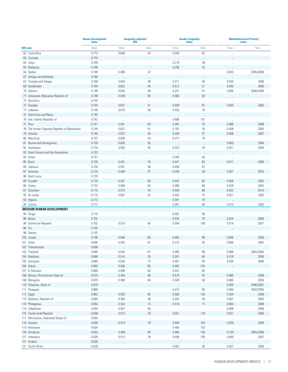|                 |                                                     | <b>Human Development</b><br>Index | <b>Inequality-adjusted</b><br>HDI |                             | <b>Gender Inequality</b><br><b>Index</b> |                      | <b>Multidimensional Poverty</b><br><b>Index</b> |           |
|-----------------|-----------------------------------------------------|-----------------------------------|-----------------------------------|-----------------------------|------------------------------------------|----------------------|-------------------------------------------------|-----------|
| <b>HDI rank</b> |                                                     | Value                             | Value                             | Rank                        | Value                                    | Rank                 | Value                                           | Year      |
|                 | 62 Costa Rica                                       | 0.773                             | 0.606                             | 54                          | 0.346                                    | 62                   | $\bar{\phantom{a}}$                             |           |
|                 | 63 Grenada                                          | 0.770                             |                                   |                             |                                          |                      |                                                 |           |
|                 | 64 Libya                                            | 0.769                             | $\ldots$                          | $\ldots$                    | 0.216                                    | 36                   | $\ddotsc$                                       |           |
|                 | 64 Malaysia                                         | 0.769                             | $\ldots$                          | $\ldots$                    | 0.256                                    | 42                   | $\ddotsc$                                       |           |
|                 | 64 Serbia                                           | 0.769                             | 0.696                             | 37                          | $\sim$                                   | $\ldots$             | 0.003                                           | 2005/2006 |
|                 | 67 Antigua and Barbuda                              | 0.760                             | $\ddotsc$                         |                             |                                          |                      |                                                 |           |
|                 | 67 Trinidad and Tobago                              | 0.760                             | 0.644                             | $\ldots$<br>49              | $\cdot$<br>0.311                         | $\sim$<br>50         | $\ddot{\phantom{0}}$<br>0.020                   | 2006      |
|                 | 69 Kazakhstan                                       | 0.754                             | 0.652                             | 44                          | 0.312                                    | 51                   | 0.002                                           | 2006      |
|                 | 70 Albania                                          | 0.749                             | 0.645                             | 48                          | 0.251                                    | 41                   | 0.005                                           | 2008/2009 |
|                 |                                                     | 0.748                             | 0.549                             | 66                          | 0.466                                    | 93                   |                                                 |           |
|                 | 71 Venezuela, Bolivarian Republic of<br>72 Dominica | 0.745                             |                                   |                             |                                          |                      |                                                 |           |
|                 | 72 Georgia                                          |                                   | $\sim$ 10 $\mu$                   | $\ldots$                    | $\sim$ 100 $\mu$                         | $\ddot{\phantom{a}}$ | $\ddot{\phantom{a}}$                            | 2005      |
|                 |                                                     | 0.745                             | 0.631                             | 51                          | 0.438                                    | 81                   | 0.003                                           |           |
|                 | 72 Lebanon                                          | 0.745                             | 0.575                             | 59                          | 0.433                                    | 78                   | $\cdot$                                         |           |
|                 | 72 Saint Kitts and Nevis                            | 0.745                             |                                   | $\ldots$                    |                                          | $\ddot{\phantom{1}}$ | $\ddot{\phantom{0}}$                            |           |
|                 | 76 Iran, Islamic Republic of                        | 0.742                             | $\sim$                            | $\ldots$                    | 0.496                                    | 107                  | $\ldots$                                        |           |
|                 | 77 Peru                                             | 0.741                             | 0.561                             | 62                          | 0.387                                    | 73                   | 0.066                                           | 2008      |
|                 | 78 The former Yugoslav Republic of Macedonia        | 0.740                             | 0.631                             | 51                          | 0.162                                    | 30                   | 0.008                                           | 2005      |
|                 | 78 Ukraine                                          | 0.740                             | 0.672                             | 40                          | 0.338                                    | 57                   | 0.008                                           | 2007      |
|                 | 80 Mauritius                                        | 0.737                             | 0.639                             | 50                          | 0.377                                    | 70                   | $\sim$                                          |           |
|                 | 81 Bosnia and Herzegovina                           | 0.735                             | 0.650                             | 45                          |                                          | $\ddotsc$            | 0.003                                           | 2006      |
|                 | 82 Azerbaijan                                       | 0.734                             | 0.650                             | 45                          | 0.323                                    | 54                   | 0.021                                           | 2006      |
|                 | 83 Saint Vincent and the Grenadines                 | 0.733                             |                                   |                             |                                          |                      |                                                 |           |
|                 | 84 Oman                                             | 0.731                             | $\ldots$                          | $\ldots$                    | 0.340                                    | 59                   | $\ddots$                                        |           |
|                 | 85 Brazil                                           | 0.730                             | 0.531                             | 70                          | 0.447                                    | 85                   | 0.011                                           | 2006      |
|                 | 85 Jamaica                                          | 0.730                             | 0.591                             | 56                          | 0.458                                    | 87                   | $\cdot$                                         |           |
|                 | 87 Armenia                                          | 0.729                             | 0.649                             | 47                          | 0.340                                    | 59                   | 0.001                                           | 2010      |
|                 | 88 Saint Lucia                                      | 0.725                             | $\sim$                            | $\ldots$                    | $\sim$                                   | $\ldots$             | $\ddot{\phantom{0}}$                            |           |
|                 | 89 Ecuador                                          | 0.724                             | 0.537                             | 69                          | 0.442                                    | 83                   | 0.009                                           | 2003      |
|                 | 90 Turkey                                           | 0.722                             | 0.560                             | 63                          | 0.366                                    | 68                   | 0.028                                           | 2003      |
|                 | 91 Colombia                                         | 0.719                             | 0.519                             | 74                          | 0.459                                    | 88                   | 0.022                                           | 2010      |
|                 | 92 Sri Lanka                                        | 0.715                             | 0.607                             | 53                          | 0.402                                    | 75                   | 0.021                                           | 2003      |
|                 | 93 Algeria                                          | 0.713                             | $\ldots$                          | $\ldots$                    | 0.391                                    | 74                   | $\ddotsc$                                       |           |
|                 | 94 Tunisia                                          | 0.712                             | $\ddot{\phantom{0}}$              | $\mathcal{L}_{\mathcal{A}}$ | 0.261                                    | 46                   | 0.010                                           | 2003      |
|                 | <b>MEDIUM HUMAN DEVELOPMENT</b>                     |                                   |                                   |                             |                                          |                      |                                                 |           |
|                 | 95 Tonga                                            | 0.710                             | $\mathcal{L}_{\mathcal{A}}$       | $\ldots$                    | 0.462                                    | 90                   |                                                 |           |
|                 | 96 Belize                                           | 0.702                             |                                   |                             | 0.435                                    | 79                   | 0.024                                           | 2006      |
|                 | 96 Dominican Republic                               | 0.702                             | 0.510                             | 80                          | 0.508                                    | 109                  | 0.018                                           | 2007      |
|                 | 96 Fiji                                             | 0.702                             |                                   |                             |                                          |                      |                                                 |           |
|                 | 96 Samoa                                            | 0.702                             |                                   | $\ldots$                    | $\ddotsc$                                |                      |                                                 |           |
|                 | 100 Jordan                                          | 0.700                             | $\sim$<br>0.568                   | $\ldots$<br>60              | $\sim$<br>0.482                          | $\cdot$<br>99        | $\sim$<br>0.008                                 | 2009      |
|                 | 101 China                                           |                                   |                                   | 67                          |                                          | 35                   |                                                 | 2002      |
|                 |                                                     | 0.699                             | 0.543                             |                             | 0.213                                    |                      | 0.056                                           |           |
|                 | 102 Turkmenistan                                    | 0.698                             |                                   |                             |                                          |                      |                                                 |           |
|                 | 103 Thailand                                        | 0.690                             | 0.543                             | 67                          | 0.360                                    | 66                   | 0.006                                           | 2005/2006 |
|                 | 104 Maldives                                        | 0.688                             | 0.515                             | $76\,$                      | 0.357                                    | 64                   | 0.018                                           | 2009      |
|                 | 105 Suriname                                        | 0.684                             | 0.526                             | 72                          | 0.467                                    | 94                   | 0.039                                           | 2006      |
|                 | 106 Gabon                                           | 0.683                             | 0.550                             | 65                          | 0.492                                    | 105                  | $\ddotsc$                                       |           |
|                 | 107 El Salvador                                     | 0.680                             | 0.499                             | 83                          | 0.441                                    | 82                   | $\ldots$                                        |           |
|                 | 108 Bolivia, Plurinational State of                 | 0.675                             | 0.444                             | 85                          | 0.474                                    | 97                   | 0.089                                           | 2008      |
|                 | 108 Mongolia                                        | 0.675                             | 0.568                             | 60                          | 0.328                                    | 56                   | 0.065                                           | 2005      |
|                 | 110 Palestine, State of                             | 0.670                             |                                   |                             |                                          |                      | 0.005                                           | 2006/2007 |
|                 | 111 Paraguay                                        | 0.669                             | $\ddot{\phantom{a}}$              | $\ldots$                    | 0.472                                    | 95                   | 0.064                                           | 2002/2003 |
|                 | 112 Egypt                                           | 0.662                             | 0.503                             | 82                          | 0.590                                    | 126                  | 0.024                                           | 2008      |
|                 | 113 Moldova, Republic of                            | 0.660                             | 0.584                             | 58                          | 0.303                                    | 49                   | 0.007                                           | 2005      |
|                 | 114 Philippines                                     | 0.654                             | 0.524                             | 73                          | 0.418                                    | 77                   | 0.064                                           | 2008      |
|                 | 114 Uzbekistan                                      | 0.654                             | 0.551                             | 64                          | $\sim$ $\sim$                            | $\bar{\mathcal{A}}$  | 0.008                                           | 2006      |
|                 | 116 Syrian Arab Republic                            | 0.648                             | 0.515                             | 76                          | 0.551                                    | 118                  | 0.021                                           | 2006      |
|                 | 117 Micronesia, Federated States of                 | 0.645                             | $\ldots$                          | $\ldots$                    | $\bar{u}$                                | $\bar{a}$            | $\bar{\mathcal{A}}$                             |           |
|                 | 118 Guyana                                          | 0.636                             | 0.514                             | 78                          | 0.490                                    | 104                  | 0.030                                           | 2009      |
|                 | 119 Botswana                                        | 0.634                             | $\mathcal{L}_{\mathcal{A}}$       | $\bar{\mathcal{A}}$         | 0.485                                    | 102                  | $\mathcal{L}_{\mathcal{A}}$                     |           |
|                 | 120 Honduras                                        | 0.632                             | 0.458                             | 84                          | 0.483                                    | 100                  | 0.159                                           | 2005/2006 |
|                 | 121 Indonesia                                       | 0.629                             | 0.514                             | 78                          | 0.494                                    | 106                  | 0.095                                           | 2007      |
|                 | 121 Kiribati                                        | 0.629                             |                                   |                             |                                          | $\cdot$              |                                                 |           |
|                 | 121 South Africa                                    | 0.629                             |                                   |                             | 0.462                                    | 90                   | 0.057                                           | 2008      |
|                 |                                                     |                                   |                                   |                             |                                          |                      |                                                 |           |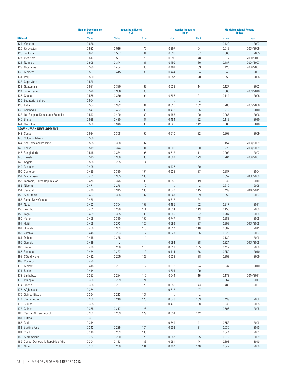|                                                         | <b>Human Development</b><br><b>Index</b> | <b>Inequality-adjusted</b><br><b>HDI</b> |                      | <b>Gender Inequality</b><br><b>Index</b> |               | <b>Multidimensional Poverty</b><br><b>Index</b> |              |
|---------------------------------------------------------|------------------------------------------|------------------------------------------|----------------------|------------------------------------------|---------------|-------------------------------------------------|--------------|
| <b>HDI rank</b>                                         | Value                                    | Value                                    | Rank                 | Value                                    | Rank          | Value                                           | Year         |
| 124 Vanuatu                                             | 0.626                                    |                                          | $\ldots$             | $\ldots$                                 |               | 0.129                                           | 2007         |
| 125 Kyrgyzstan                                          | 0.622                                    | 0.516                                    | 75                   | 0.357                                    | 64            | 0.019                                           | 2005/2006    |
| 125 Tajikistan                                          | 0.622                                    | 0.507                                    | 81                   | 0.338                                    | 57            | 0.068                                           | 2005         |
| 127 Viet Nam                                            | 0.617                                    | 0.531                                    | 70                   | 0.299                                    | 48            | 0.017                                           | 2010/2011    |
| 128 Namibia                                             | 0.608                                    | 0.344                                    | 101                  | 0.455                                    | 86            | 0.187                                           | 2006/2007    |
| 129 Nicaragua                                           | 0.599                                    | 0.434                                    | 86                   | 0.461                                    | 89            | 0.128                                           | 2006/2007    |
| 130 Morocco                                             | 0.591                                    | 0.415                                    | 88                   | 0.444                                    | 84            | 0.048                                           | 2007         |
| 131 Iraq                                                | 0.590                                    | $\sim$                                   | $\ldots$             | 0.557                                    | 120           | 0.059                                           | 2006         |
| 132 Cape Verde                                          | 0.586                                    | $\ldots$                                 | $\cdot$              |                                          | $\ddotsc$     | $\ddotsc$                                       |              |
| 133 Guatemala                                           | 0.581                                    | 0.389                                    | 92                   | 0.539                                    | 114           | 0.127                                           | 2003         |
| 134 Timor-Leste                                         | 0.576                                    | 0.386                                    | 93                   |                                          |               | 0.360                                           | 2009/2010    |
| 135 Ghana                                               | 0.558                                    | 0.379                                    | 94                   | 0.565                                    | 121           | 0.144                                           | 2008         |
| 136 Equatorial Guinea                                   | 0.554                                    | $\ldots$                                 | $\sim$               |                                          |               |                                                 |              |
| 136 India                                               | 0.554                                    | 0.392                                    | 91                   | 0.610                                    | 132           | 0.283                                           | 2005/2006    |
| 138 Cambodia                                            | 0.543                                    | 0.402                                    | 90                   | 0.473                                    | 96            | 0.212                                           | 2010         |
| 138 Lao People's Democratic Republic                    | 0.543                                    | 0.409                                    | 89                   | 0.483                                    | 100           | 0.267                                           | 2006         |
| 140 Bhutan                                              | 0.538                                    | 0.430                                    | 87                   | 0.464                                    | 92            | 0.119                                           | 2010         |
| 141 Swaziland                                           | 0.536                                    | 0.346                                    | 99                   | 0.525                                    | 112           | 0.086                                           | 2010         |
| <b>LOW HUMAN DEVELOPMENT</b>                            |                                          |                                          |                      |                                          |               |                                                 |              |
| 142 Congo                                               | 0.534                                    | 0.368                                    | 96                   | 0.610                                    | 132           | 0.208                                           | 2009         |
| 143 Solomon Islands                                     | 0.530                                    |                                          | $\ddot{\phantom{a}}$ |                                          |               |                                                 |              |
| 144 Sao Tome and Principe                               | 0.525                                    | 0.358                                    | 97                   | $\ldots$                                 | $\ldots$      | 0.154                                           | 2008/2009    |
| 145 Kenya                                               | 0.519                                    | 0.344                                    | 101                  | 0.608                                    | 130           | 0.229                                           | 2008/2009    |
| 146 Bangladesh                                          | 0.515                                    | 0.374                                    | 95                   | 0.518                                    | 111           | 0.292                                           | 2007         |
| 146 Pakistan                                            | 0.515                                    | 0.356                                    | 98                   | 0.567                                    | 123           | 0.264                                           | 2006/2007    |
| 148 Angola                                              | 0.508                                    | 0.285                                    | 114                  | $\ldots$                                 | $\ldots$      | $\bar{z}_i$                                     |              |
| 149 Myanmar                                             | 0.498                                    |                                          | $\cdot$ .            | 0.437                                    | 80            | $\ddotsc$                                       |              |
| 150 Cameroon                                            | 0.495                                    | 0.330                                    | 104                  | 0.628                                    | 137           | 0.287                                           | 2004         |
| 151 Madagascar                                          | 0.483                                    | 0.335                                    | 103                  | $\cdot$                                  | $\ldots$      | 0.357                                           | 2008/2009    |
| 152 Tanzania, United Republic of                        | 0.476<br>0.471                           | 0.346<br>0.276                           | 99<br>119            | 0.556                                    | 119           | 0.332<br>0.310                                  | 2010<br>2008 |
| 153 Nigeria<br>154 Senegal                              | 0.470                                    | 0.315                                    | 105                  | 0.540                                    | 115           | 0.439                                           | 2010/2011    |
| 155 Mauritania                                          | 0.467                                    | 0.306                                    | 107                  | 0.643                                    | 139           | 0.352                                           | 2007         |
| 156 Papua New Guinea                                    | 0.466                                    |                                          |                      | 0.617                                    | 134           |                                                 |              |
| 157 Nepal                                               | 0.463                                    | $\bar{a}$<br>0.304                       | $\ldots$<br>109      | 0.485                                    | 102           | $\ddotsc$<br>0.217                              | 2011         |
| 158 Lesotho                                             | 0.461                                    | 0.296                                    | 111                  | 0.534                                    | 113           | 0.156                                           | 2009         |
| 159 Togo                                                | 0.459                                    | 0.305                                    | 108                  | 0.566                                    | 122           | 0.284                                           | 2006         |
| 160 Yemen                                               | 0.458                                    | 0.310                                    | 106                  | 0.747                                    | 148           | 0.283                                           | 2006         |
| 161 Haiti                                               | 0.456                                    | 0.273                                    | 120                  | 0.592                                    | 127           | 0.299                                           | 2005/2006    |
| 161 Uganda                                              | 0.456                                    | 0.303                                    | 110                  | 0.517                                    | 110           | 0.367                                           | 2011         |
| 163 Zambia                                              | 0.448                                    | 0.283                                    | 117                  | 0.623                                    | 136           | 0.328                                           | 2007         |
| 164 Djibouti                                            | 0.445                                    | 0.285                                    | 114                  |                                          |               | 0.139                                           | 2006         |
| 165 Gambia                                              | 0.439                                    | $\sim$                                   | $\ldots$             | 0.594                                    | 128           | 0.324                                           | 2005/2006    |
| 166 Benin                                               | 0.436                                    | 0.280                                    | 118                  | 0.618                                    | 135           | 0.412                                           | 2006         |
| 167 Rwanda                                              | 0.434                                    | 0.287                                    | 112                  | 0.414                                    | 76            | 0.350                                           | 2010         |
| 168 Côte d'Ivoire                                       | 0.432                                    | 0.265                                    | 122                  | 0.632                                    | 138           | 0.353                                           | 2005         |
| 169 Comoros                                             | 0.429                                    |                                          |                      | $\ldots$                                 |               |                                                 |              |
| 170 Malawi                                              | 0.418                                    | 0.287                                    | 112                  | 0.573                                    | 124           | 0.334                                           | 2010         |
| 171 Sudan                                               | 0.414                                    | $\ldots$                                 | $\ldots$             | 0.604                                    | 129           |                                                 |              |
| 172 Zimbabwe                                            | 0.397                                    | 0.284                                    | 116                  | 0.544                                    | 116           | 0.172                                           | 2010/2011    |
| 173 Ethiopia                                            | 0.396                                    | 0.269                                    | 121                  | $\sim$ $\sim$                            | $\sim$ $\sim$ | 0.564                                           | 2011         |
| 174 Liberia                                             | 0.388                                    | 0.251                                    | 123                  | 0.658                                    | 143           | 0.485                                           | 2007         |
| 175 Afghanistan                                         | 0.374                                    |                                          |                      | 0.712                                    | 147           |                                                 |              |
| 176 Guinea-Bissau                                       | 0.364                                    | 0.213                                    | 127                  | $\sim$ $\sim$                            | $\ldots$      | $\sim$ $\sim$                                   |              |
| 177 Sierra Leone                                        | 0.359                                    | 0.210                                    | 128                  | 0.643                                    | 139           | 0.439                                           | 2008         |
| 178 Burundi                                             | 0.355                                    | $\sim$                                   | $\sim$               | 0.476                                    | 98            | 0.530                                           | 2005         |
| 178 Guinea                                              | 0.355                                    | 0.217                                    | 126                  | $\sim$ $\sim$                            | $\ldots$      | 0.506                                           | 2005         |
| 180 Central African Republic                            | 0.352                                    | 0.209                                    | 129                  | 0.654                                    | 142           | $\sim$ $\sim$                                   |              |
| 181 Eritrea                                             | 0.351                                    |                                          | $\sim$               |                                          |               | $\cdot$                                         |              |
| 182 Mali                                                | 0.344                                    | $\sim$                                   | $\bar{\mathcal{A}}$  | 0.649                                    | 141           | 0.558                                           | 2006         |
| 183 Burkina Faso                                        | 0.343                                    | 0.226                                    | 124                  | 0.609                                    | 131           | 0.535                                           | 2010         |
| 184 Chad                                                | 0.340                                    | 0.203                                    | 130                  | $\sim$                                   | $\sim$        | 0.344                                           | 2003         |
| 185 Mozambique<br>186 Congo, Democratic Republic of the | 0.327<br>0.304                           | 0.220<br>0.183                           | 125<br>132           | 0.582                                    | 125           | 0.512<br>0.392                                  | 2009<br>2010 |
| 186 Niger                                               | 0.304                                    | 0.200                                    | 131                  | 0.681<br>0.707                           | 144<br>146    | 0.642                                           | 2006         |
|                                                         |                                          |                                          |                      |                                          |               |                                                 |              |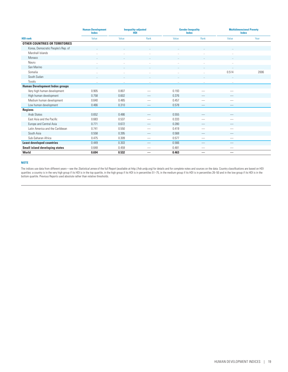|                                       | <b>Human Development</b><br><b>Index</b> | <b>Inequality-adjusted</b><br><b>HDI</b> |                                | <b>Gender Inequality</b><br>Index |                          | <b>Multidimensional Poverty</b><br>Index |      |
|---------------------------------------|------------------------------------------|------------------------------------------|--------------------------------|-----------------------------------|--------------------------|------------------------------------------|------|
| <b>HDI rank</b>                       | Value                                    | Value                                    | Rank                           | Value                             | Rank                     | Value                                    | Year |
| <b>OTHER COUNTRIES OR TERRITORIES</b> |                                          |                                          |                                |                                   |                          |                                          |      |
| Korea, Democratic People's Rep. of    | $\ddots$                                 | $\ddot{\phantom{a}}$                     | $\sim$                         | $\ddotsc$                         | $\sim$                   | $\sim$                                   |      |
| Marshall Islands                      | $\ddot{\phantom{a}}$                     | $\ddotsc$                                | $\ddotsc$                      | $\ddotsc$                         | $\ddotsc$                | $\ddotsc$                                |      |
| Monaco                                | $\ddot{\phantom{a}}$                     | $\ddot{\phantom{a}}$                     | $\ldots$                       | $\ldots$                          | $\ddot{\phantom{a}}$     | $\ldots$                                 |      |
| Nauru                                 | $\ddot{\phantom{a}}$                     | $\ddotsc$                                | $\ddotsc$                      | $\ddotsc$                         | $\ddotsc$                | $\ddotsc$                                |      |
| San Marino                            |                                          | $\ddot{\phantom{a}}$                     | ٠.                             | $\ddot{\phantom{a}}$              |                          | $\ddot{\phantom{a}}$                     |      |
| Somalia                               | $\ddot{\phantom{a}}$                     | $\ddot{\phantom{a}}$                     | $\ddotsc$                      | $\ddotsc$                         | $\ddot{\phantom{a}}$     | 0.514                                    | 2006 |
| South Sudan                           | $\ddot{\phantom{a}}$                     | $\ddot{\phantom{a}}$                     | ä.                             | $\sim$                            | $\ddot{\phantom{a}}$     | $\sim$                                   |      |
| Tuvalu                                | $\ddotsc$                                | $\ldots$                                 | $\ddotsc$                      | $\ddotsc$                         | $\ddotsc$                | $\ddotsc$                                |      |
| <b>Human Development Index groups</b> |                                          |                                          |                                |                                   |                          |                                          |      |
| Very high human development           | 0.905                                    | 0.807                                    |                                | 0.193                             | $\overline{\phantom{0}}$ |                                          |      |
| High human development                | 0.758                                    | 0.602                                    |                                | 0.376                             |                          |                                          |      |
| Medium human development              | 0.640                                    | 0.485                                    |                                | 0.457                             | $\overline{\phantom{a}}$ | --                                       |      |
| Low human development                 | 0.466                                    | 0.310                                    |                                | 0.578                             |                          | $\overline{\phantom{0}}$                 |      |
| <b>Regions</b>                        |                                          |                                          |                                |                                   |                          |                                          |      |
| <b>Arab States</b>                    | 0.652                                    | 0.486                                    |                                | 0.555                             |                          |                                          |      |
| East Asia and the Pacific             | 0.683                                    | 0.537                                    |                                | 0.333                             | -                        |                                          |      |
| Europe and Central Asia               | 0.771                                    | 0.672                                    |                                | 0.280                             |                          |                                          |      |
| Latin America and the Caribbean       | 0.741                                    | 0.550                                    |                                | 0.419                             |                          |                                          |      |
| South Asia                            | 0.558                                    | 0.395                                    | $\qquad \qquad \longleftarrow$ | 0.568                             | $\overline{\phantom{m}}$ | $\qquad \qquad \longleftarrow$           |      |
| Sub-Saharan Africa                    | 0.475                                    | 0.309                                    | –                              | 0.577                             |                          |                                          |      |
| <b>Least developed countries</b>      | 0.449                                    | 0.303                                    |                                | 0.566                             | $\overline{\phantom{0}}$ |                                          |      |
| <b>Small island developing states</b> | 0.648                                    | 0.459                                    | $\qquad \qquad$                | 0.481                             | $\qquad \qquad$          |                                          |      |
| World                                 | 0.694                                    | 0.532                                    | —                              | 0.463                             | —                        | —                                        |      |

#### **Note**

The indices use data from different years—see the *Statistical annex* of the full Report (available at http://hdr.undp.org) for details and for complete notes and sources on the data. Country classifications are based on H bottom quartile. Previous Reports used absolute rather than relative thresholds.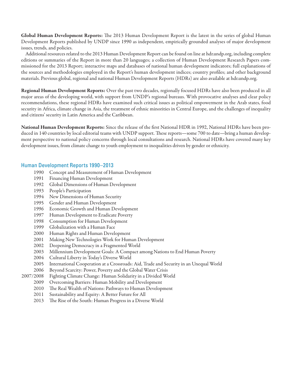Global Human Development Reports: The 2013 Human Development Report is the latest in the series of global Human Development Reports published by UNDP since 1990 as independent, empirically grounded analyses of major development issues, trends, and policies.

Additional resources related to the 2013 Human Development Report can be found on line at hdr.undp.org, including complete editions or summaries of the Report in more than 20 languages; a collection of Human Development Research Papers commissioned for the 2013 Report; interactive maps and databases of national human development indicators; full explanations of the sources and methodologies employed in the Report's human development indices; country profiles; and other background materials. Previous global, regional and national Human Development Reports (HDRs) are also available at hdr.undp.org.

Regional Human Development Reports: Over the past two decades, regionally focused HDRs have also been produced in all major areas of the developing world, with support from UNDP's regional bureaus. With provocative analyses and clear policy recommendations, these regional HDRs have examined such critical issues as political empowerment in the Arab states, food security in Africa, climate change in Asia, the treatment of ethnic minorities in Central Europe, and the challenges of inequality and citizens' security in Latin America and the Caribbean.

National Human Development Reports: Since the release of the first National HDR in 1992, National HDRs have been produced in 140 countries by local editorial teams with UNDP support. These reports—some 700 to date—bring a human development perspective to national policy concerns through local consultations and research. National HDRs have covered many key development issues, from climate change to youth employment to inequalities driven by gender or ethnicity.

## Human Development Reports 1990–2013

- 1990 Concept and Measurement of Human Development
- 1991 Financing Human Development
- 1992 Global Dimensions of Human Development
- 1993 People's Participation
- 1994 New Dimensions of Human Security
- 1995 Gender and Human Development
- 1996 Economic Growth and Human Development
- 1997 Human Development to Eradicate Poverty
- 1998 Consumption for Human Development
- 1999 Globalization with a Human Face
- 2000 Human Rights and Human Development
- 2001 Making New Technologies Work for Human Development
- 2002 Deepening Democracy in a Fragmented World
- 2003 Millennium Development Goals: A Compact among Nations to End Human Poverty
- 2004 Cultural Liberty in Today's Diverse World
- 2005 International Cooperation at a Crossroads: Aid, Trade and Security in an Unequal World
- 2006 Beyond Scarcity: Power, Poverty and the Global Water Crisis
- 2007/2008 Fighting Climate Change: Human Solidarity in a Divided World
	- 2009 Overcoming Barriers: Human Mobility and Development
		- 2010 The Real Wealth of Nations: Pathways to Human Development
		- 2011 Sustainability and Equity: A Better Future for All
		- 2013 The Rise of the South: Human Progress in a Diverse World